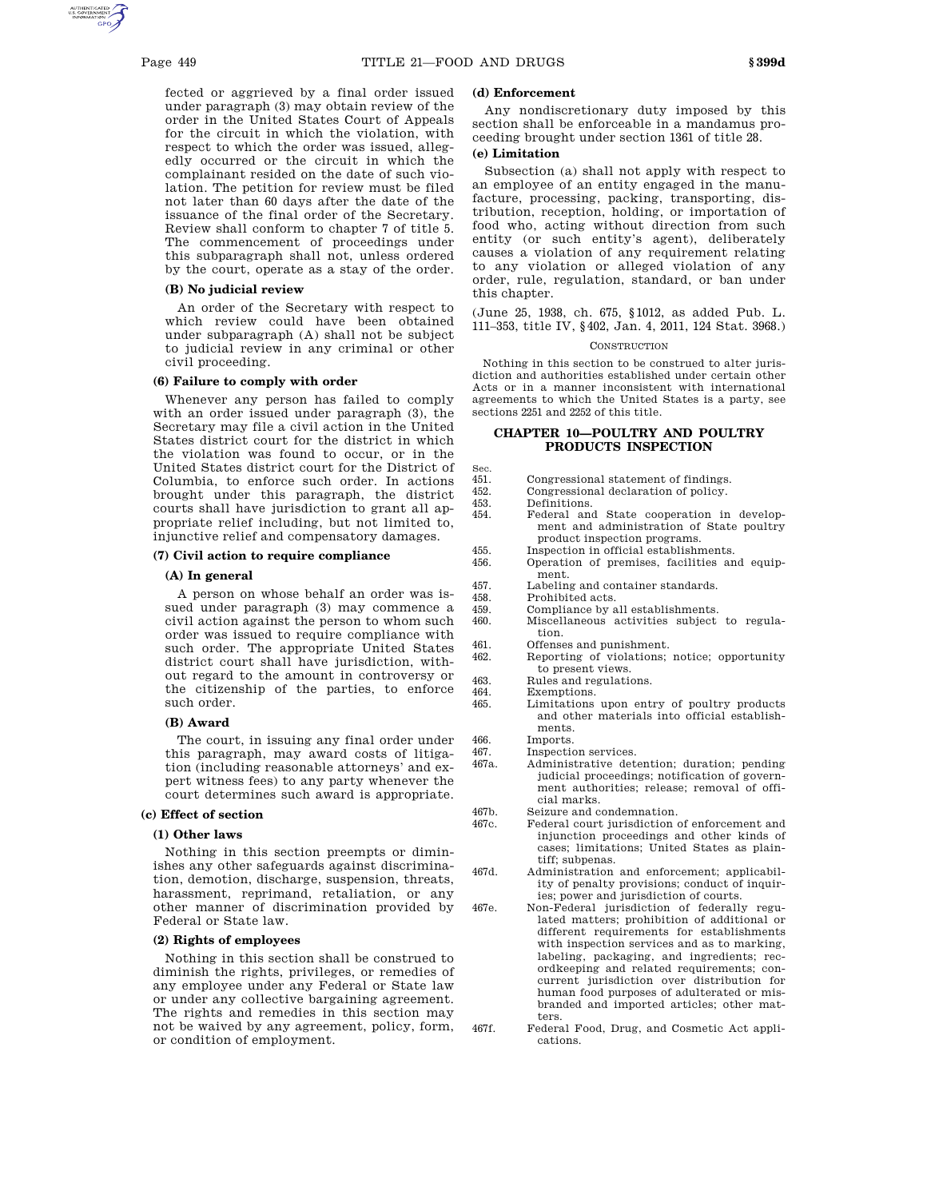fected or aggrieved by a final order issued under paragraph (3) may obtain review of the order in the United States Court of Appeals for the circuit in which the violation, with respect to which the order was issued, allegedly occurred or the circuit in which the complainant resided on the date of such violation. The petition for review must be filed not later than 60 days after the date of the issuance of the final order of the Secretary. Review shall conform to chapter 7 of title 5. The commencement of proceedings under this subparagraph shall not, unless ordered by the court, operate as a stay of the order.

## **(B) No judicial review**

An order of the Secretary with respect to which review could have been obtained under subparagraph (A) shall not be subject to judicial review in any criminal or other civil proceeding.

#### **(6) Failure to comply with order**

Whenever any person has failed to comply with an order issued under paragraph (3), the Secretary may file a civil action in the United States district court for the district in which the violation was found to occur, or in the United States district court for the District of Columbia, to enforce such order. In actions brought under this paragraph, the district courts shall have jurisdiction to grant all appropriate relief including, but not limited to, injunctive relief and compensatory damages.

## **(7) Civil action to require compliance**

#### **(A) In general**

A person on whose behalf an order was issued under paragraph (3) may commence a civil action against the person to whom such order was issued to require compliance with such order. The appropriate United States district court shall have jurisdiction, without regard to the amount in controversy or the citizenship of the parties, to enforce such order.

## **(B) Award**

The court, in issuing any final order under this paragraph, may award costs of litigation (including reasonable attorneys' and expert witness fees) to any party whenever the court determines such award is appropriate.

## **(c) Effect of section**

## **(1) Other laws**

Nothing in this section preempts or diminishes any other safeguards against discrimination, demotion, discharge, suspension, threats, harassment, reprimand, retaliation, or any other manner of discrimination provided by Federal or State law.

## **(2) Rights of employees**

Nothing in this section shall be construed to diminish the rights, privileges, or remedies of any employee under any Federal or State law or under any collective bargaining agreement. The rights and remedies in this section may not be waived by any agreement, policy, form, or condition of employment.

#### **(d) Enforcement**

Any nondiscretionary duty imposed by this section shall be enforceable in a mandamus proceeding brought under section 1361 of title 28.

## **(e) Limitation**

Subsection (a) shall not apply with respect to an employee of an entity engaged in the manufacture, processing, packing, transporting, distribution, reception, holding, or importation of food who, acting without direction from such entity (or such entity's agent), deliberately causes a violation of any requirement relating to any violation or alleged violation of any order, rule, regulation, standard, or ban under this chapter.

(June 25, 1938, ch. 675, §1012, as added Pub. L. 111–353, title IV, §402, Jan. 4, 2011, 124 Stat. 3968.)

#### **CONSTRUCTION**

Nothing in this section to be construed to alter jurisdiction and authorities established under certain other Acts or in a manner inconsistent with international agreements to which the United States is a party, see sections 2251 and 2252 of this title.

## **CHAPTER 10—POULTRY AND POULTRY PRODUCTS INSPECTION**

- Sec.<br>451.
- 451. Congressional statement of findings.<br>452. Congressional declaration of policy. 452. Congressional declaration of policy.
- 
- 453. Definitions.<br>454. Federal an Federal and State cooperation in development and administration of State poultry product inspection programs.
- 455. Inspection in official establishments.
- 456. Operation of premises, facilities and equipment.
- 457. Labeling and container standards.<br>458. Prohibited acts.
	- Prohibited acts.
- 459. Compliance by all establishments.
- 460. Miscellaneous activities subject to regulation.
- 461. Offenses and punishment.
- 462. Reporting of violations; notice; opportunity to present views.
- 463. Rules and regulations.<br>464. Exemptions.
- 464. Exemptions.<br>465. Limitations
	- Limitations upon entry of poultry products and other materials into official establishments.
- 466. Imports.
- 467. Inspection services.<br>467a Administrative det
	- Administrative detention; duration; pending judicial proceedings; notification of government authorities; release; removal of official marks.
- 467b. Seizure and condemnation.<br>467c. Federal court jurisdiction
	- Federal court jurisdiction of enforcement and injunction proceedings and other kinds of cases; limitations; United States as plaintiff; subpenas.
- 467d. Administration and enforcement; applicability of penalty provisions; conduct of inquiries; power and jurisdiction of courts.
- 467e. Non-Federal jurisdiction of federally regulated matters; prohibition of additional or different requirements for establishments with inspection services and as to marking, labeling, packaging, and ingredients; recordkeeping and related requirements; concurrent jurisdiction over distribution for human food purposes of adulterated or misbranded and imported articles; other matters.
- 467f. Federal Food, Drug, and Cosmetic Act applications.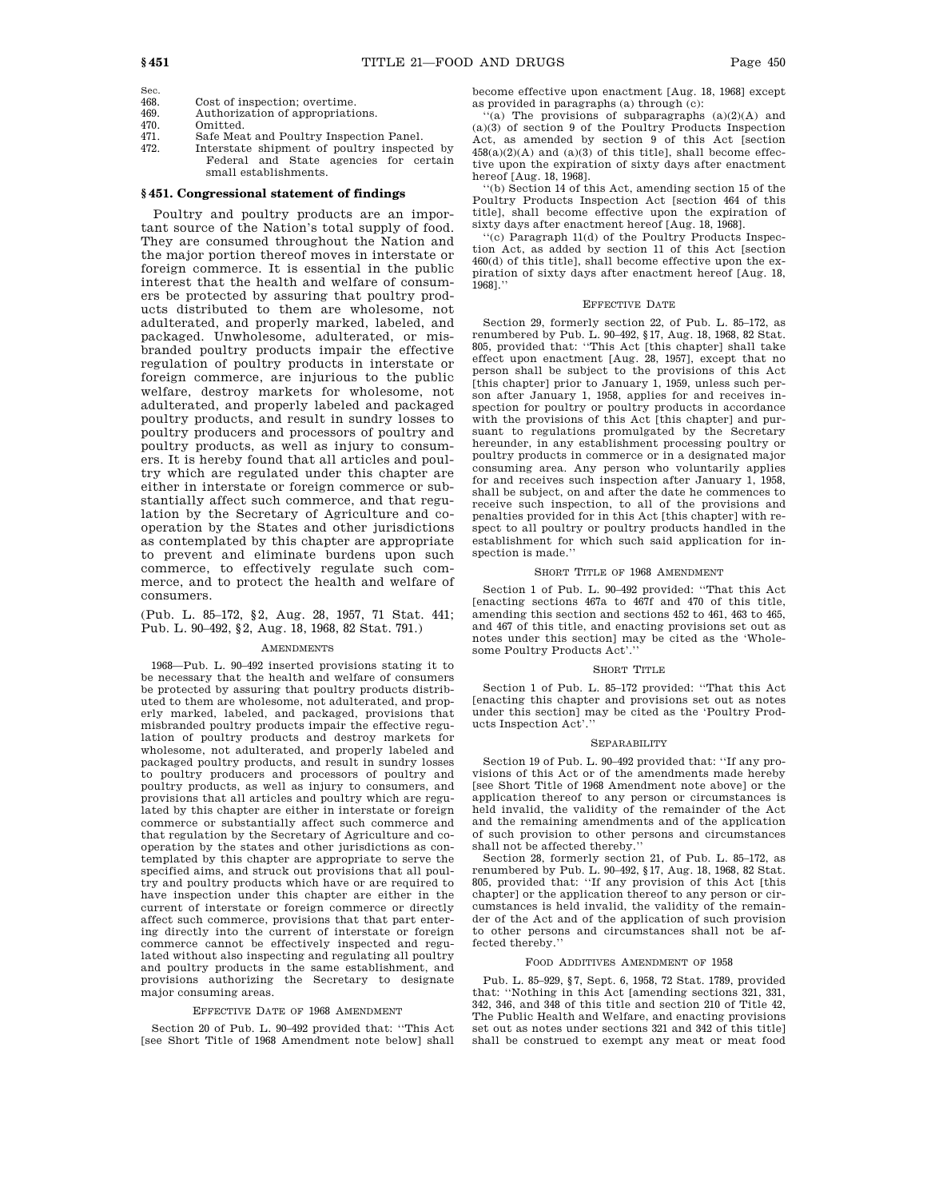Sec.

- 468. Cost of inspection; overtime.<br>469. Authorization of appropriation
- 469. Authorization of appropriations.<br>470. Omitted.
- Omitted.
- 
- 471. Safe Meat and Poultry Inspection Panel.<br>472. Interstate shipment of poultry inspecte Interstate shipment of poultry inspected by Federal and State agencies for certain small establishments.

## **§ 451. Congressional statement of findings**

Poultry and poultry products are an important source of the Nation's total supply of food. They are consumed throughout the Nation and the major portion thereof moves in interstate or foreign commerce. It is essential in the public interest that the health and welfare of consumers be protected by assuring that poultry products distributed to them are wholesome, not adulterated, and properly marked, labeled, and packaged. Unwholesome, adulterated, or misbranded poultry products impair the effective regulation of poultry products in interstate or foreign commerce, are injurious to the public welfare, destroy markets for wholesome, not adulterated, and properly labeled and packaged poultry products, and result in sundry losses to poultry producers and processors of poultry and poultry products, as well as injury to consumers. It is hereby found that all articles and poultry which are regulated under this chapter are either in interstate or foreign commerce or substantially affect such commerce, and that regulation by the Secretary of Agriculture and cooperation by the States and other jurisdictions as contemplated by this chapter are appropriate to prevent and eliminate burdens upon such commerce, to effectively regulate such commerce, and to protect the health and welfare of consumers.

(Pub. L. 85–172, §2, Aug. 28, 1957, 71 Stat. 441; Pub. L. 90–492, §2, Aug. 18, 1968, 82 Stat. 791.)

## AMENDMENTS

1968—Pub. L. 90–492 inserted provisions stating it to be necessary that the health and welfare of consumers be protected by assuring that poultry products distributed to them are wholesome, not adulterated, and properly marked, labeled, and packaged, provisions that misbranded poultry products impair the effective regulation of poultry products and destroy markets for wholesome, not adulterated, and properly labeled and packaged poultry products, and result in sundry losses to poultry producers and processors of poultry and poultry products, as well as injury to consumers, and provisions that all articles and poultry which are regulated by this chapter are either in interstate or foreign commerce or substantially affect such commerce and that regulation by the Secretary of Agriculture and cooperation by the states and other jurisdictions as contemplated by this chapter are appropriate to serve the specified aims, and struck out provisions that all poultry and poultry products which have or are required to have inspection under this chapter are either in the current of interstate or foreign commerce or directly affect such commerce, provisions that that part entering directly into the current of interstate or foreign commerce cannot be effectively inspected and regulated without also inspecting and regulating all poultry and poultry products in the same establishment, and provisions authorizing the Secretary to designate major consuming areas.

#### EFFECTIVE DATE OF 1968 AMENDMENT

Section 20 of Pub. L. 90–492 provided that: ''This Act [see Short Title of 1968 Amendment note below] shall become effective upon enactment [Aug. 18, 1968] except as provided in paragraphs (a) through (c):

 $(a)$  The provisions of subparagraphs  $(a)(2)(A)$  and (a)(3) of section 9 of the Poultry Products Inspection Act, as amended by section 9 of this Act [section  $458(a)(2)(A)$  and  $(a)(3)$  of this title], shall become effective upon the expiration of sixty days after enactment hereof [Aug. 18, 1968].

''(b) Section 14 of this Act, amending section 15 of the Poultry Products Inspection Act [section 464 of this title], shall become effective upon the expiration of sixty days after enactment hereof [Aug. 18, 1968].

''(c) Paragraph 11(d) of the Poultry Products Inspection Act, as added by section 11 of this Act [section 460(d) of this title], shall become effective upon the expiration of sixty days after enactment hereof [Aug. 18, 1968].''

#### EFFECTIVE DATE

Section 29, formerly section 22, of Pub. L. 85–172, as renumbered by Pub. L. 90–492, §17, Aug. 18, 1968, 82 Stat. 805, provided that: ''This Act [this chapter] shall take effect upon enactment [Aug. 28, 1957], except that no person shall be subject to the provisions of this Act [this chapter] prior to January 1, 1959, unless such person after January 1, 1958, applies for and receives inspection for poultry or poultry products in accordance with the provisions of this Act [this chapter] and pursuant to regulations promulgated by the Secretary hereunder, in any establishment processing poultry or poultry products in commerce or in a designated major consuming area. Any person who voluntarily applies for and receives such inspection after January 1, 1958, shall be subject, on and after the date he commences to receive such inspection, to all of the provisions and penalties provided for in this Act [this chapter] with respect to all poultry or poultry products handled in the establishment for which such said application for inspection is made.''

## SHORT TITLE OF 1968 AMENDMENT

Section 1 of Pub. L. 90–492 provided: ''That this Act [enacting sections 467a to 467f and 470 of this title, amending this section and sections 452 to 461, 463 to 465, and 467 of this title, and enacting provisions set out as notes under this section] may be cited as the 'Wholesome Poultry Products Act'.

#### SHORT TITLE

Section 1 of Pub. L. 85–172 provided: ''That this Act [enacting this chapter and provisions set out as notes under this section] may be cited as the 'Poultry Products Inspection Act'.''

#### SEPARABILITY

Section 19 of Pub. L. 90–492 provided that: ''If any provisions of this Act or of the amendments made hereby [see Short Title of 1968 Amendment note above] or the application thereof to any person or circumstances is held invalid, the validity of the remainder of the Act and the remaining amendments and of the application of such provision to other persons and circumstances shall not be affected thereby.''

Section 28, formerly section 21, of Pub. L. 85–172, as renumbered by Pub. L. 90–492, §17, Aug. 18, 1968, 82 Stat. 805, provided that: ''If any provision of this Act [this chapter] or the application thereof to any person or circumstances is held invalid, the validity of the remainder of the Act and of the application of such provision to other persons and circumstances shall not be affected thereby.''

#### FOOD ADDITIVES AMENDMENT OF 1958

Pub. L. 85–929, §7, Sept. 6, 1958, 72 Stat. 1789, provided that: ''Nothing in this Act [amending sections 321, 331, 342, 346, and 348 of this title and section 210 of Title 42, The Public Health and Welfare, and enacting provisions set out as notes under sections 321 and 342 of this title] shall be construed to exempt any meat or meat food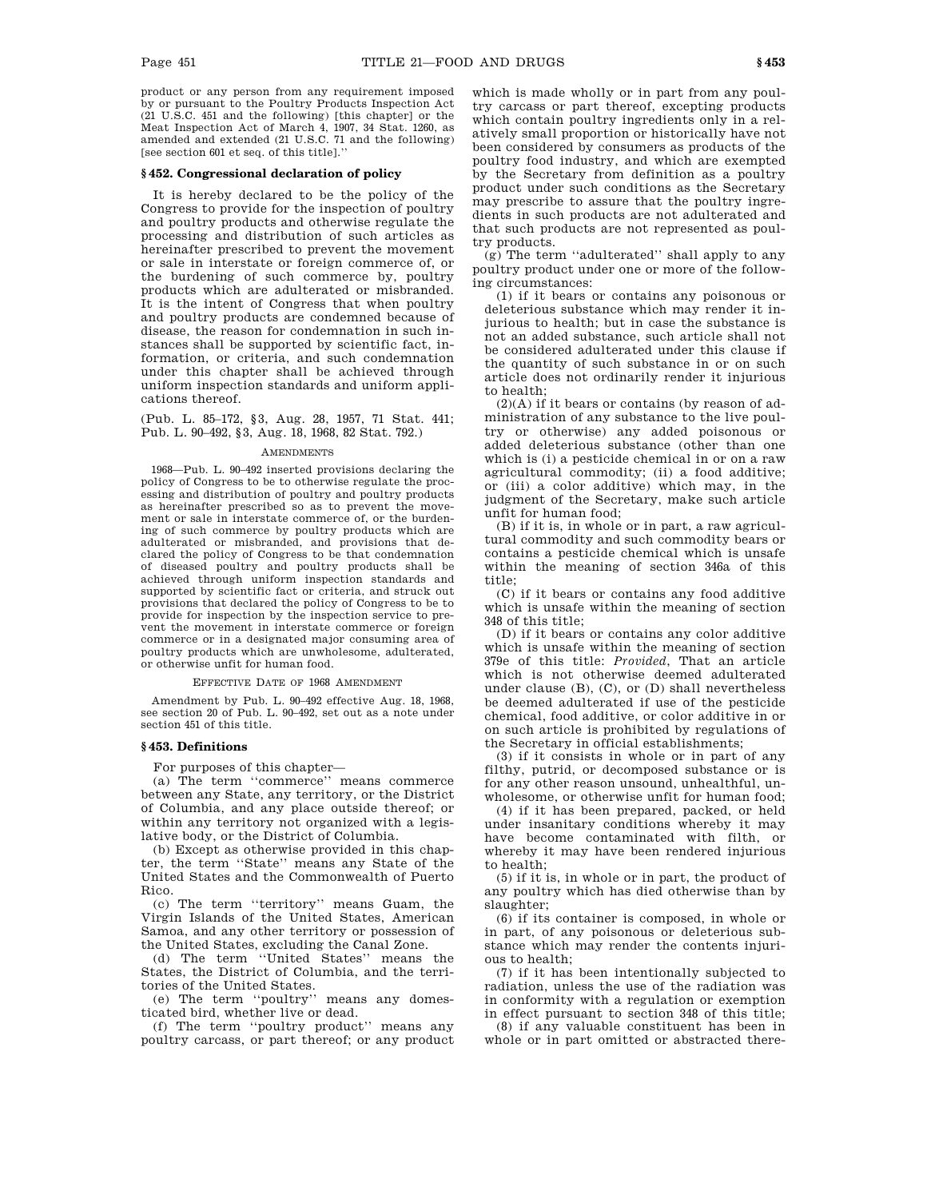product or any person from any requirement imposed by or pursuant to the Poultry Products Inspection Act (21 U.S.C. 451 and the following) [this chapter] or the Meat Inspection Act of March 4, 1907, 34 Stat. 1260, as amended and extended (21 U.S.C. 71 and the following) [see section 601 et seq. of this title].''

#### **§ 452. Congressional declaration of policy**

It is hereby declared to be the policy of the Congress to provide for the inspection of poultry and poultry products and otherwise regulate the processing and distribution of such articles as hereinafter prescribed to prevent the movement or sale in interstate or foreign commerce of, or the burdening of such commerce by, poultry products which are adulterated or misbranded. It is the intent of Congress that when poultry and poultry products are condemned because of disease, the reason for condemnation in such instances shall be supported by scientific fact, information, or criteria, and such condemnation under this chapter shall be achieved through uniform inspection standards and uniform applications thereof.

(Pub. L. 85–172, §3, Aug. 28, 1957, 71 Stat. 441; Pub. L. 90–492, §3, Aug. 18, 1968, 82 Stat. 792.)

## **AMENDMENTS**

1968—Pub. L. 90–492 inserted provisions declaring the policy of Congress to be to otherwise regulate the processing and distribution of poultry and poultry products as hereinafter prescribed so as to prevent the movement or sale in interstate commerce of, or the burdening of such commerce by poultry products which are adulterated or misbranded, and provisions that declared the policy of Congress to be that condemnation of diseased poultry and poultry products shall be achieved through uniform inspection standards and supported by scientific fact or criteria, and struck out provisions that declared the policy of Congress to be to provide for inspection by the inspection service to prevent the movement in interstate commerce or foreign commerce or in a designated major consuming area of poultry products which are unwholesome, adulterated, or otherwise unfit for human food.

#### EFFECTIVE DATE OF 1968 AMENDMENT

Amendment by Pub. L. 90–492 effective Aug. 18, 1968, see section 20 of Pub. L. 90–492, set out as a note under section 451 of this title.

## **§ 453. Definitions**

For purposes of this chapter—

(a) The term ''commerce'' means commerce between any State, any territory, or the District of Columbia, and any place outside thereof; or within any territory not organized with a legislative body, or the District of Columbia.

(b) Except as otherwise provided in this chapter, the term ''State'' means any State of the United States and the Commonwealth of Puerto Rico.

(c) The term ''territory'' means Guam, the Virgin Islands of the United States, American Samoa, and any other territory or possession of the United States, excluding the Canal Zone.

(d) The term ''United States'' means the States, the District of Columbia, and the territories of the United States.

(e) The term ''poultry'' means any domesticated bird, whether live or dead.

(f) The term ''poultry product'' means any poultry carcass, or part thereof; or any product which is made wholly or in part from any poultry carcass or part thereof, excepting products which contain poultry ingredients only in a relatively small proportion or historically have not been considered by consumers as products of the poultry food industry, and which are exempted by the Secretary from definition as a poultry product under such conditions as the Secretary may prescribe to assure that the poultry ingredients in such products are not adulterated and that such products are not represented as poultry products.

(g) The term ''adulterated'' shall apply to any poultry product under one or more of the following circumstances:

(1) if it bears or contains any poisonous or deleterious substance which may render it injurious to health; but in case the substance is not an added substance, such article shall not be considered adulterated under this clause if the quantity of such substance in or on such article does not ordinarily render it injurious to health;

(2)(A) if it bears or contains (by reason of administration of any substance to the live poultry or otherwise) any added poisonous or added deleterious substance (other than one which is (i) a pesticide chemical in or on a raw agricultural commodity; (ii) a food additive; or (iii) a color additive) which may, in the judgment of the Secretary, make such article unfit for human food;

(B) if it is, in whole or in part, a raw agricultural commodity and such commodity bears or contains a pesticide chemical which is unsafe within the meaning of section 346a of this title;

(C) if it bears or contains any food additive which is unsafe within the meaning of section 348 of this title;

(D) if it bears or contains any color additive which is unsafe within the meaning of section 379e of this title: *Provided*, That an article which is not otherwise deemed adulterated under clause (B), (C), or (D) shall nevertheless be deemed adulterated if use of the pesticide chemical, food additive, or color additive in or on such article is prohibited by regulations of the Secretary in official establishments;

(3) if it consists in whole or in part of any filthy, putrid, or decomposed substance or is for any other reason unsound, unhealthful, unwholesome, or otherwise unfit for human food;

(4) if it has been prepared, packed, or held under insanitary conditions whereby it may have become contaminated with filth, or whereby it may have been rendered injurious to health;

(5) if it is, in whole or in part, the product of any poultry which has died otherwise than by slaughter;

(6) if its container is composed, in whole or in part, of any poisonous or deleterious substance which may render the contents injurious to health;

(7) if it has been intentionally subjected to radiation, unless the use of the radiation was in conformity with a regulation or exemption in effect pursuant to section 348 of this title;

(8) if any valuable constituent has been in whole or in part omitted or abstracted there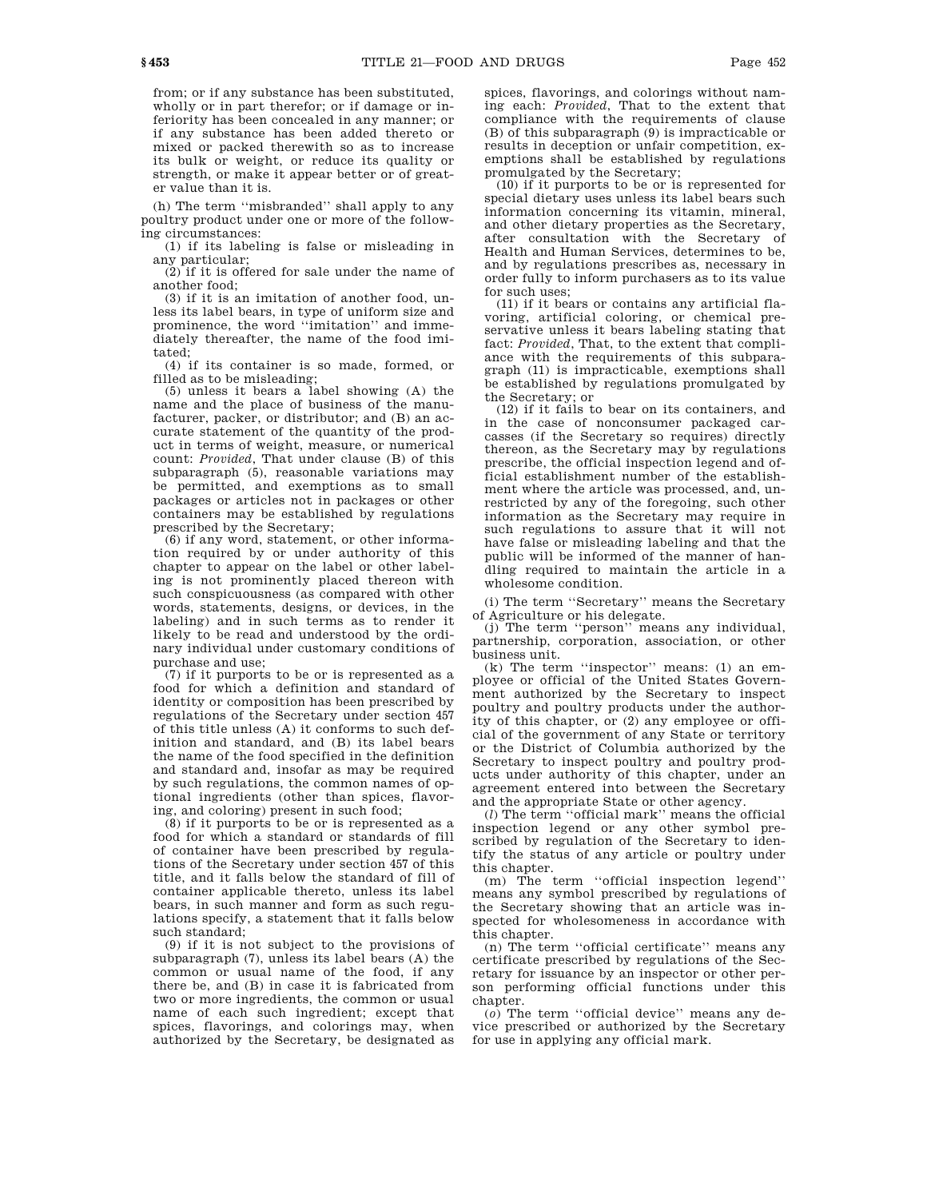from; or if any substance has been substituted, wholly or in part therefor; or if damage or inferiority has been concealed in any manner; or if any substance has been added thereto or mixed or packed therewith so as to increase its bulk or weight, or reduce its quality or strength, or make it appear better or of greater value than it is.

(h) The term ''misbranded'' shall apply to any poultry product under one or more of the following circumstances:

(1) if its labeling is false or misleading in any particular;

 $(2)$  if it is offered for sale under the name of another food;

(3) if it is an imitation of another food, unless its label bears, in type of uniform size and prominence, the word ''imitation'' and immediately thereafter, the name of the food imitated;

(4) if its container is so made, formed, or filled as to be misleading;

(5) unless it bears a label showing (A) the name and the place of business of the manufacturer, packer, or distributor; and (B) an accurate statement of the quantity of the product in terms of weight, measure, or numerical count: *Provided*, That under clause (B) of this subparagraph (5), reasonable variations may be permitted, and exemptions as to small packages or articles not in packages or other containers may be established by regulations prescribed by the Secretary;

(6) if any word, statement, or other information required by or under authority of this chapter to appear on the label or other labeling is not prominently placed thereon with such conspicuousness (as compared with other words, statements, designs, or devices, in the labeling) and in such terms as to render it likely to be read and understood by the ordinary individual under customary conditions of purchase and use;

(7) if it purports to be or is represented as a food for which a definition and standard of identity or composition has been prescribed by regulations of the Secretary under section 457 of this title unless (A) it conforms to such definition and standard, and (B) its label bears the name of the food specified in the definition and standard and, insofar as may be required by such regulations, the common names of optional ingredients (other than spices, flavoring, and coloring) present in such food;

(8) if it purports to be or is represented as a food for which a standard or standards of fill of container have been prescribed by regulations of the Secretary under section 457 of this title, and it falls below the standard of fill of container applicable thereto, unless its label bears, in such manner and form as such regulations specify, a statement that it falls below such standard;

(9) if it is not subject to the provisions of subparagraph (7), unless its label bears (A) the common or usual name of the food, if any there be, and (B) in case it is fabricated from two or more ingredients, the common or usual name of each such ingredient; except that spices, flavorings, and colorings may, when authorized by the Secretary, be designated as

spices, flavorings, and colorings without naming each: *Provided*, That to the extent that compliance with the requirements of clause (B) of this subparagraph (9) is impracticable or results in deception or unfair competition, exemptions shall be established by regulations promulgated by the Secretary;

(10) if it purports to be or is represented for special dietary uses unless its label bears such information concerning its vitamin, mineral, and other dietary properties as the Secretary, after consultation with the Secretary of Health and Human Services, determines to be, and by regulations prescribes as, necessary in order fully to inform purchasers as to its value for such uses;

(11) if it bears or contains any artificial flavoring, artificial coloring, or chemical preservative unless it bears labeling stating that fact: *Provided*, That, to the extent that compliance with the requirements of this subparagraph (11) is impracticable, exemptions shall be established by regulations promulgated by the Secretary; or

(12) if it fails to bear on its containers, and in the case of nonconsumer packaged carcasses (if the Secretary so requires) directly thereon, as the Secretary may by regulations prescribe, the official inspection legend and official establishment number of the establishment where the article was processed, and, unrestricted by any of the foregoing, such other information as the Secretary may require in such regulations to assure that it will not have false or misleading labeling and that the public will be informed of the manner of handling required to maintain the article in a wholesome condition.

(i) The term ''Secretary'' means the Secretary of Agriculture or his delegate.

(j) The term ''person'' means any individual, partnership, corporation, association, or other business unit.

(k) The term ''inspector'' means: (1) an employee or official of the United States Government authorized by the Secretary to inspect poultry and poultry products under the authority of this chapter, or (2) any employee or official of the government of any State or territory or the District of Columbia authorized by the Secretary to inspect poultry and poultry products under authority of this chapter, under an agreement entered into between the Secretary and the appropriate State or other agency.

(*l*) The term ''official mark'' means the official inspection legend or any other symbol prescribed by regulation of the Secretary to identify the status of any article or poultry under this chapter.

(m) The term ''official inspection legend'' means any symbol prescribed by regulations of the Secretary showing that an article was inspected for wholesomeness in accordance with this chapter.

(n) The term ''official certificate'' means any certificate prescribed by regulations of the Secretary for issuance by an inspector or other person performing official functions under this chapter.

(*o*) The term ''official device'' means any device prescribed or authorized by the Secretary for use in applying any official mark.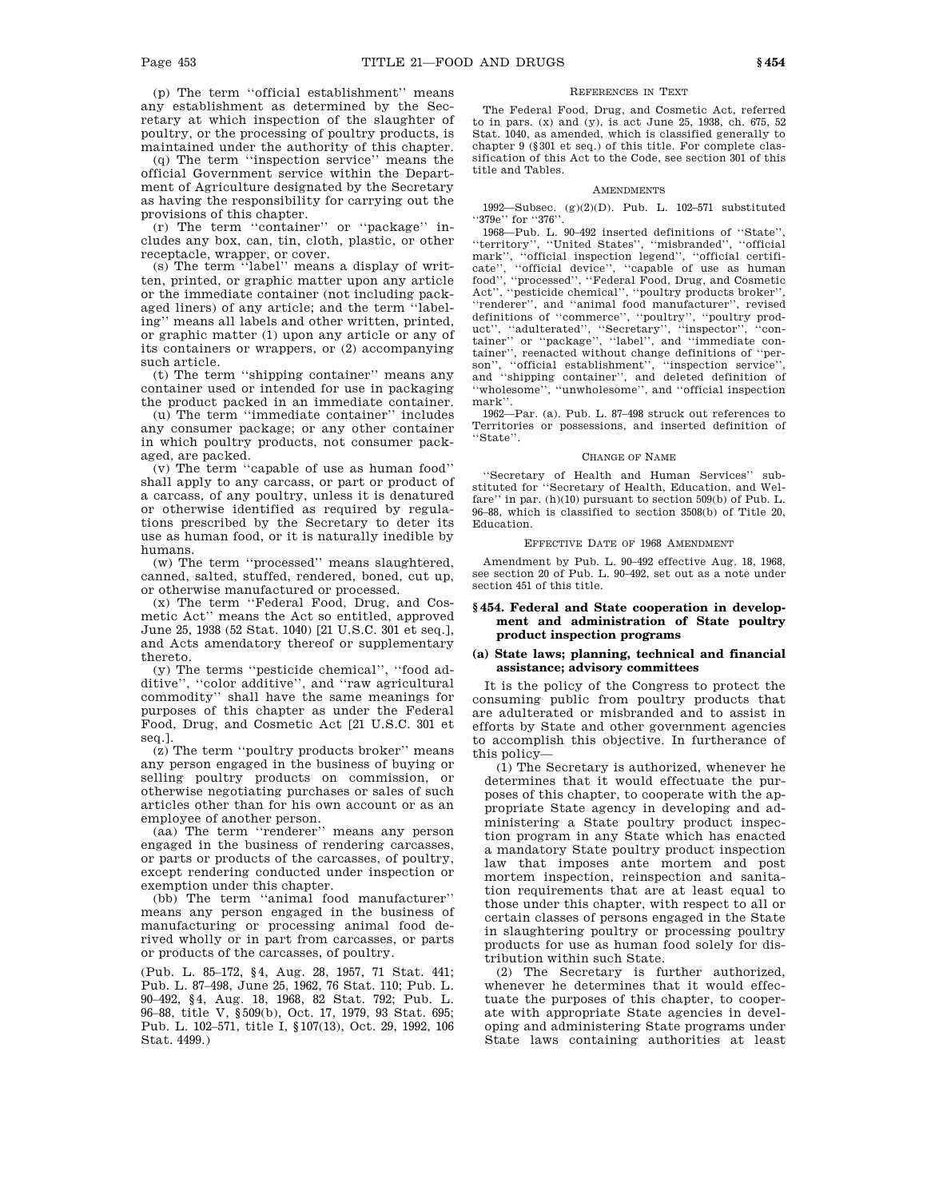(p) The term ''official establishment'' means any establishment as determined by the Secretary at which inspection of the slaughter of poultry, or the processing of poultry products, is maintained under the authority of this chapter.

(q) The term ''inspection service'' means the official Government service within the Department of Agriculture designated by the Secretary as having the responsibility for carrying out the provisions of this chapter.

(r) The term ''container'' or ''package'' includes any box, can, tin, cloth, plastic, or other receptacle, wrapper, or cover.

(s) The term ''label'' means a display of written, printed, or graphic matter upon any article or the immediate container (not including packaged liners) of any article; and the term ''labeling'' means all labels and other written, printed, or graphic matter (1) upon any article or any of its containers or wrappers, or (2) accompanying such article.

(t) The term ''shipping container'' means any container used or intended for use in packaging the product packed in an immediate container.

(u) The term ''immediate container'' includes any consumer package; or any other container in which poultry products, not consumer packaged, are packed.

 $(v)$  The term "capable of use as human food" shall apply to any carcass, or part or product of a carcass, of any poultry, unless it is denatured or otherwise identified as required by regulations prescribed by the Secretary to deter its use as human food, or it is naturally inedible by humans.

(w) The term ''processed'' means slaughtered, canned, salted, stuffed, rendered, boned, cut up, or otherwise manufactured or processed.

(x) The term ''Federal Food, Drug, and Cosmetic Act'' means the Act so entitled, approved June 25, 1938 (52 Stat. 1040) [21 U.S.C. 301 et seq.], and Acts amendatory thereof or supplementary thereto.

(y) The terms ''pesticide chemical'', ''food additive'', ''color additive'', and ''raw agricultural commodity'' shall have the same meanings for purposes of this chapter as under the Federal Food, Drug, and Cosmetic Act [21 U.S.C. 301 et seq.].

(z) The term ''poultry products broker'' means any person engaged in the business of buying or selling poultry products on commission, or otherwise negotiating purchases or sales of such articles other than for his own account or as an employee of another person.

(aa) The term ''renderer'' means any person engaged in the business of rendering carcasses, or parts or products of the carcasses, of poultry, except rendering conducted under inspection or exemption under this chapter.

(bb) The term ''animal food manufacturer'' means any person engaged in the business of manufacturing or processing animal food derived wholly or in part from carcasses, or parts or products of the carcasses, of poultry.

(Pub. L. 85–172, §4, Aug. 28, 1957, 71 Stat. 441; Pub. L. 87–498, June 25, 1962, 76 Stat. 110; Pub. L. 90–492, §4, Aug. 18, 1968, 82 Stat. 792; Pub. L. 96–88, title V, §509(b), Oct. 17, 1979, 93 Stat. 695; Pub. L. 102–571, title I, §107(13), Oct. 29, 1992, 106 Stat. 4499.)

#### REFERENCES IN TEXT

The Federal Food, Drug, and Cosmetic Act, referred to in pars. (x) and (y), is act June 25, 1938, ch. 675, 52 Stat. 1040, as amended, which is classified generally to chapter 9 (§301 et seq.) of this title. For complete classification of this Act to the Code, see section 301 of this title and Tables.

#### AMENDMENTS

1992—Subsec. (g)(2)(D). Pub. L. 102–571 substituted ''379e'' for ''376''.

1968—Pub. L. 90–492 inserted definitions of ''State'', ''territory'', ''United States'', ''misbranded'', ''official mark", "official inspection legend", "official certificate'', ''official device'', ''capable of use as human food'', ''processed'', ''Federal Food, Drug, and Cosmetic Act'', ''pesticide chemical'', ''poultry products broker'', 'renderer'', and "animal food manufacturer", revised definitions of ''commerce'', ''poultry'', ''poultry product'', ''adulterated'', ''Secretary'', ''inspector'', ''container'' or ''package'', ''label'', and ''immediate container'', reenacted without change definitions of ''person'', ''official establishment'', ''inspection service'' and ''shipping container'', and deleted definition of ''wholesome'', ''unwholesome'', and ''official inspection mark''.

1962—Par. (a). Pub. L. 87–498 struck out references to Territories or possessions, and inserted definition of ''State''.

#### CHANGE OF NAME

''Secretary of Health and Human Services'' substituted for ''Secretary of Health, Education, and Welfare'' in par. (h)(10) pursuant to section 509(b) of Pub. L. 96–88, which is classified to section 3508(b) of Title 20, Education.

#### EFFECTIVE DATE OF 1968 AMENDMENT

Amendment by Pub. L. 90–492 effective Aug. 18, 1968, see section 20 of Pub. L. 90–492, set out as a note under section 451 of this title.

## **§ 454. Federal and State cooperation in development and administration of State poultry product inspection programs**

## **(a) State laws; planning, technical and financial assistance; advisory committees**

It is the policy of the Congress to protect the consuming public from poultry products that are adulterated or misbranded and to assist in efforts by State and other government agencies to accomplish this objective. In furtherance of this policy—

(1) The Secretary is authorized, whenever he determines that it would effectuate the purposes of this chapter, to cooperate with the appropriate State agency in developing and administering a State poultry product inspection program in any State which has enacted a mandatory State poultry product inspection law that imposes ante mortem and post mortem inspection, reinspection and sanitation requirements that are at least equal to those under this chapter, with respect to all or certain classes of persons engaged in the State in slaughtering poultry or processing poultry products for use as human food solely for distribution within such State.

(2) The Secretary is further authorized, whenever he determines that it would effectuate the purposes of this chapter, to cooperate with appropriate State agencies in developing and administering State programs under State laws containing authorities at least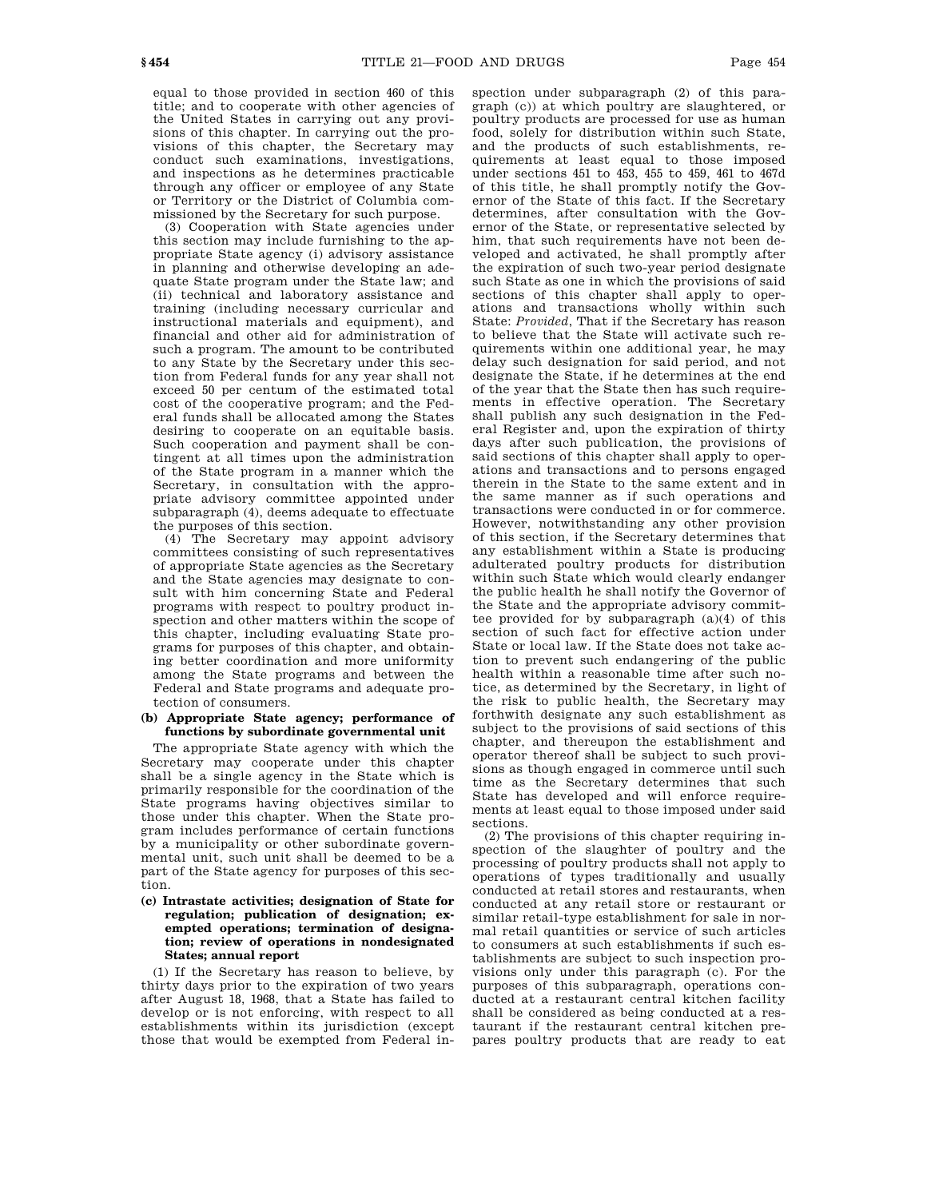equal to those provided in section 460 of this title; and to cooperate with other agencies of the United States in carrying out any provisions of this chapter. In carrying out the provisions of this chapter, the Secretary may conduct such examinations, investigations, and inspections as he determines practicable through any officer or employee of any State or Territory or the District of Columbia commissioned by the Secretary for such purpose.

(3) Cooperation with State agencies under this section may include furnishing to the appropriate State agency (i) advisory assistance in planning and otherwise developing an adequate State program under the State law; and (ii) technical and laboratory assistance and training (including necessary curricular and instructional materials and equipment), and financial and other aid for administration of such a program. The amount to be contributed to any State by the Secretary under this section from Federal funds for any year shall not exceed 50 per centum of the estimated total cost of the cooperative program; and the Federal funds shall be allocated among the States desiring to cooperate on an equitable basis. Such cooperation and payment shall be contingent at all times upon the administration of the State program in a manner which the Secretary, in consultation with the appropriate advisory committee appointed under subparagraph (4), deems adequate to effectuate the purposes of this section.

(4) The Secretary may appoint advisory committees consisting of such representatives of appropriate State agencies as the Secretary and the State agencies may designate to consult with him concerning State and Federal programs with respect to poultry product inspection and other matters within the scope of this chapter, including evaluating State programs for purposes of this chapter, and obtaining better coordination and more uniformity among the State programs and between the Federal and State programs and adequate protection of consumers.

#### **(b) Appropriate State agency; performance of functions by subordinate governmental unit**

The appropriate State agency with which the Secretary may cooperate under this chapter shall be a single agency in the State which is primarily responsible for the coordination of the State programs having objectives similar to those under this chapter. When the State program includes performance of certain functions by a municipality or other subordinate governmental unit, such unit shall be deemed to be a part of the State agency for purposes of this section.

## **(c) Intrastate activities; designation of State for regulation; publication of designation; exempted operations; termination of designation; review of operations in nondesignated States; annual report**

(1) If the Secretary has reason to believe, by thirty days prior to the expiration of two years after August 18, 1968, that a State has failed to develop or is not enforcing, with respect to all establishments within its jurisdiction (except those that would be exempted from Federal inspection under subparagraph (2) of this paragraph (c)) at which poultry are slaughtered, or poultry products are processed for use as human food, solely for distribution within such State, and the products of such establishments, requirements at least equal to those imposed under sections 451 to 453, 455 to 459, 461 to 467d of this title, he shall promptly notify the Governor of the State of this fact. If the Secretary determines, after consultation with the Governor of the State, or representative selected by him, that such requirements have not been developed and activated, he shall promptly after the expiration of such two-year period designate such State as one in which the provisions of said sections of this chapter shall apply to operations and transactions wholly within such State: *Provided*, That if the Secretary has reason to believe that the State will activate such requirements within one additional year, he may delay such designation for said period, and not designate the State, if he determines at the end of the year that the State then has such requirements in effective operation. The Secretary shall publish any such designation in the Federal Register and, upon the expiration of thirty days after such publication, the provisions of said sections of this chapter shall apply to operations and transactions and to persons engaged therein in the State to the same extent and in the same manner as if such operations and transactions were conducted in or for commerce. However, notwithstanding any other provision of this section, if the Secretary determines that any establishment within a State is producing adulterated poultry products for distribution within such State which would clearly endanger the public health he shall notify the Governor of the State and the appropriate advisory committee provided for by subparagraph (a)(4) of this section of such fact for effective action under State or local law. If the State does not take action to prevent such endangering of the public health within a reasonable time after such notice, as determined by the Secretary, in light of the risk to public health, the Secretary may forthwith designate any such establishment as subject to the provisions of said sections of this chapter, and thereupon the establishment and operator thereof shall be subject to such provisions as though engaged in commerce until such time as the Secretary determines that such State has developed and will enforce requirements at least equal to those imposed under said sections.

(2) The provisions of this chapter requiring inspection of the slaughter of poultry and the processing of poultry products shall not apply to operations of types traditionally and usually conducted at retail stores and restaurants, when conducted at any retail store or restaurant or similar retail-type establishment for sale in normal retail quantities or service of such articles to consumers at such establishments if such establishments are subject to such inspection provisions only under this paragraph (c). For the purposes of this subparagraph, operations conducted at a restaurant central kitchen facility shall be considered as being conducted at a restaurant if the restaurant central kitchen prepares poultry products that are ready to eat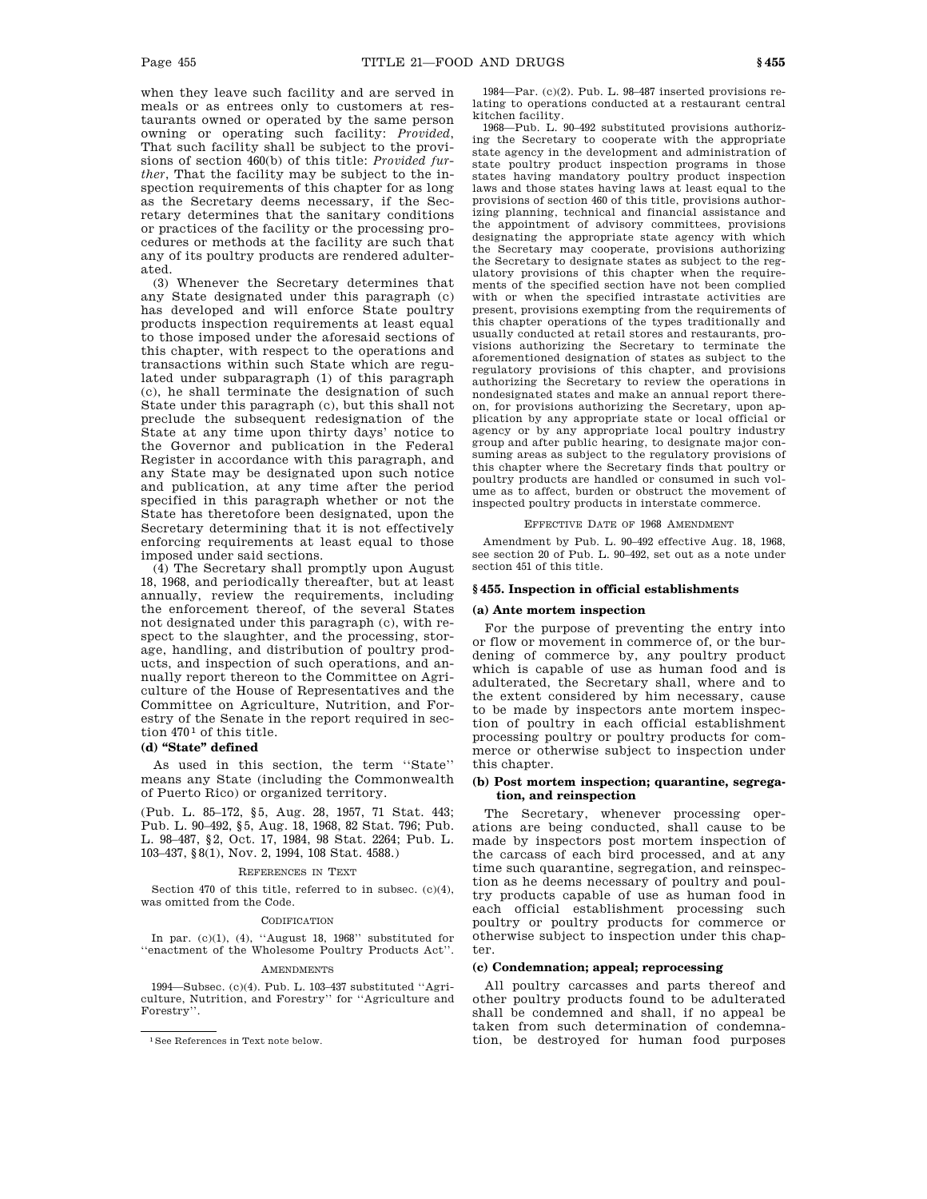when they leave such facility and are served in meals or as entrees only to customers at restaurants owned or operated by the same person owning or operating such facility: *Provided*, That such facility shall be subject to the provisions of section 460(b) of this title: *Provided further*, That the facility may be subject to the inspection requirements of this chapter for as long as the Secretary deems necessary, if the Secretary determines that the sanitary conditions or practices of the facility or the processing procedures or methods at the facility are such that any of its poultry products are rendered adulterated.

(3) Whenever the Secretary determines that any State designated under this paragraph (c) has developed and will enforce State poultry products inspection requirements at least equal to those imposed under the aforesaid sections of this chapter, with respect to the operations and transactions within such State which are regulated under subparagraph (1) of this paragraph (c), he shall terminate the designation of such State under this paragraph (c), but this shall not preclude the subsequent redesignation of the State at any time upon thirty days' notice to the Governor and publication in the Federal Register in accordance with this paragraph, and any State may be designated upon such notice and publication, at any time after the period specified in this paragraph whether or not the State has theretofore been designated, upon the Secretary determining that it is not effectively enforcing requirements at least equal to those imposed under said sections.

(4) The Secretary shall promptly upon August 18, 1968, and periodically thereafter, but at least annually, review the requirements, including the enforcement thereof, of the several States not designated under this paragraph (c), with respect to the slaughter, and the processing, storage, handling, and distribution of poultry products, and inspection of such operations, and annually report thereon to the Committee on Agriculture of the House of Representatives and the Committee on Agriculture, Nutrition, and Forestry of the Senate in the report required in section 470<sup>1</sup> of this title.

## **(d) ''State'' defined**

As used in this section, the term ''State'' means any State (including the Commonwealth of Puerto Rico) or organized territory.

(Pub. L. 85–172, §5, Aug. 28, 1957, 71 Stat. 443; Pub. L. 90–492, §5, Aug. 18, 1968, 82 Stat. 796; Pub. L. 98–487, §2, Oct. 17, 1984, 98 Stat. 2264; Pub. L. 103–437, §8(1), Nov. 2, 1994, 108 Stat. 4588.)

## REFERENCES IN TEXT

Section 470 of this title, referred to in subsec. (c)(4), was omitted from the Code.

#### CODIFICATION

In par. (c)(1), (4), ''August 18, 1968'' substituted for ''enactment of the Wholesome Poultry Products Act''.

#### AMENDMENTS

1994—Subsec. (c)(4). Pub. L. 103–437 substituted ''Agriculture, Nutrition, and Forestry'' for ''Agriculture and Forestry''.

1984—Par. (c)(2). Pub. L. 98–487 inserted provisions relating to operations conducted at a restaurant central kitchen facility.

1968—Pub. L. 90–492 substituted provisions authorizing the Secretary to cooperate with the appropriate state agency in the development and administration of state poultry product inspection programs in those states having mandatory poultry product inspection laws and those states having laws at least equal to the provisions of section 460 of this title, provisions authorizing planning, technical and financial assistance and the appointment of advisory committees, provisions designating the appropriate state agency with which the Secretary may cooperate, provisions authorizing the Secretary to designate states as subject to the regulatory provisions of this chapter when the requirements of the specified section have not been complied with or when the specified intrastate activities are present, provisions exempting from the requirements of this chapter operations of the types traditionally and usually conducted at retail stores and restaurants, provisions authorizing the Secretary to terminate the aforementioned designation of states as subject to the regulatory provisions of this chapter, and provisions authorizing the Secretary to review the operations in nondesignated states and make an annual report thereon, for provisions authorizing the Secretary, upon application by any appropriate state or local official or agency or by any appropriate local poultry industry group and after public hearing, to designate major consuming areas as subject to the regulatory provisions of this chapter where the Secretary finds that poultry or poultry products are handled or consumed in such volume as to affect, burden or obstruct the movement of inspected poultry products in interstate commerce.

#### EFFECTIVE DATE OF 1968 AMENDMENT

Amendment by Pub. L. 90–492 effective Aug. 18, 1968, see section 20 of Pub. L. 90–492, set out as a note under section 451 of this title.

#### **§ 455. Inspection in official establishments**

#### **(a) Ante mortem inspection**

For the purpose of preventing the entry into or flow or movement in commerce of, or the burdening of commerce by, any poultry product which is capable of use as human food and is adulterated, the Secretary shall, where and to the extent considered by him necessary, cause to be made by inspectors ante mortem inspection of poultry in each official establishment processing poultry or poultry products for commerce or otherwise subject to inspection under this chapter.

#### **(b) Post mortem inspection; quarantine, segregation, and reinspection**

The Secretary, whenever processing operations are being conducted, shall cause to be made by inspectors post mortem inspection of the carcass of each bird processed, and at any time such quarantine, segregation, and reinspection as he deems necessary of poultry and poultry products capable of use as human food in each official establishment processing such poultry or poultry products for commerce or otherwise subject to inspection under this chapter.

#### **(c) Condemnation; appeal; reprocessing**

All poultry carcasses and parts thereof and other poultry products found to be adulterated shall be condemned and shall, if no appeal be taken from such determination of condemnation, be destroyed for human food purposes

<sup>1</sup>See References in Text note below.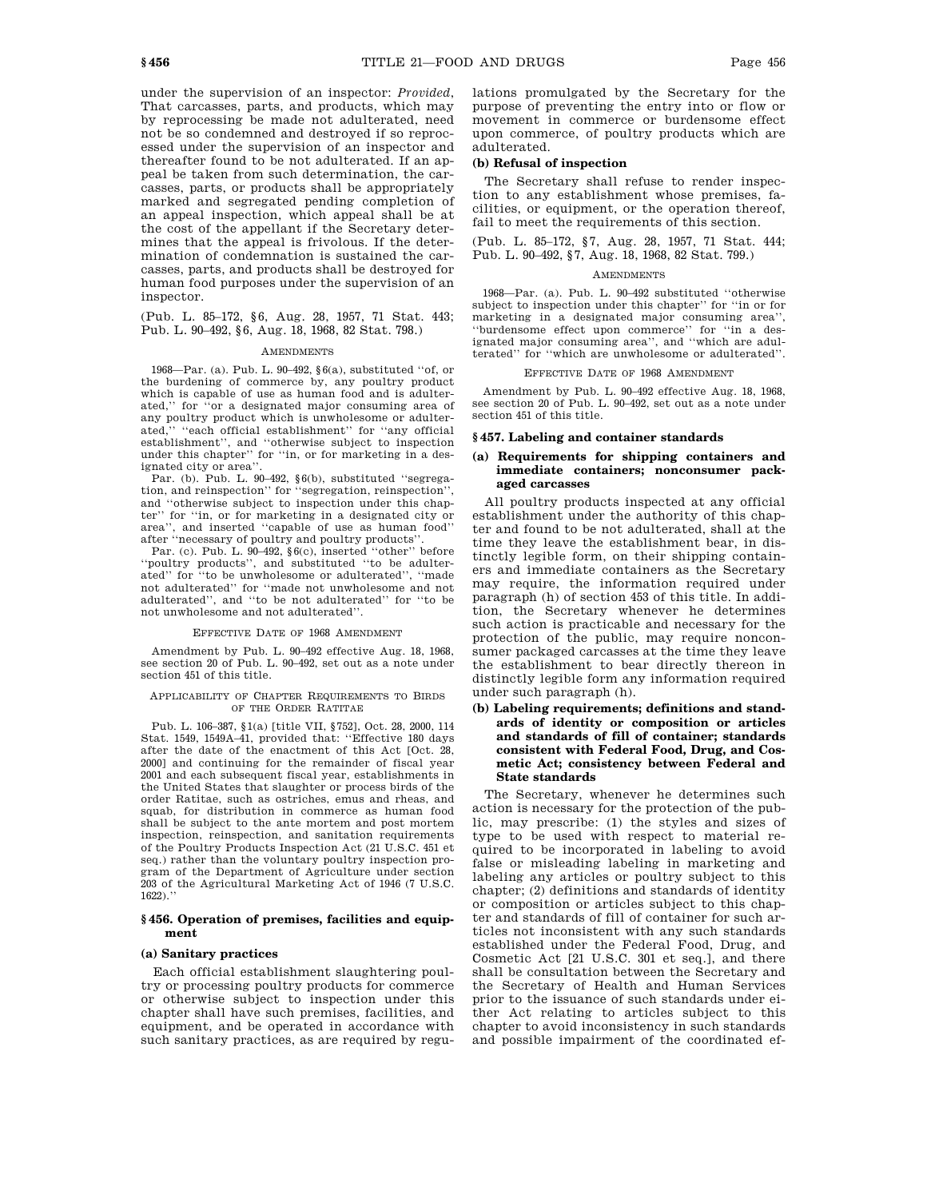under the supervision of an inspector: *Provided*, That carcasses, parts, and products, which may by reprocessing be made not adulterated, need not be so condemned and destroyed if so reprocessed under the supervision of an inspector and thereafter found to be not adulterated. If an appeal be taken from such determination, the carcasses, parts, or products shall be appropriately marked and segregated pending completion of an appeal inspection, which appeal shall be at the cost of the appellant if the Secretary determines that the appeal is frivolous. If the determination of condemnation is sustained the carcasses, parts, and products shall be destroyed for human food purposes under the supervision of an inspector.

(Pub. L. 85–172, §6, Aug. 28, 1957, 71 Stat. 443; Pub. L. 90–492, §6, Aug. 18, 1968, 82 Stat. 798.)

#### **AMENDMENTS**

1968—Par. (a). Pub. L. 90–492, §6(a), substituted ''of, or the burdening of commerce by, any poultry product which is capable of use as human food and is adulterated,'' for ''or a designated major consuming area of any poultry product which is unwholesome or adulterated,'' ''each official establishment'' for ''any official establishment'', and ''otherwise subject to inspection under this chapter'' for ''in, or for marketing in a designated city or area''.

Par. (b). Pub. L. 90–492, §6(b), substituted ''segregation, and reinspection'' for ''segregation, reinspection'', and ''otherwise subject to inspection under this chapter'' for ''in, or for marketing in a designated city or area'', and inserted ''capable of use as human food'' after ''necessary of poultry and poultry products''.

Par. (c). Pub. L. 90–492,  $\S6(c)$ , inserted "other" before ''poultry products'', and substituted ''to be adulterated'' for ''to be unwholesome or adulterated'', ''made not adulterated'' for ''made not unwholesome and not adulterated'', and ''to be not adulterated'' for ''to be not unwholesome and not adulterated''.

#### EFFECTIVE DATE OF 1968 AMENDMENT

Amendment by Pub. L. 90–492 effective Aug. 18, 1968, see section 20 of Pub. L. 90–492, set out as a note under section 451 of this title.

#### APPLICABILITY OF CHAPTER REQUIREMENTS TO BIRDS OF THE ORDER RATITAE

Pub. L. 106–387, §1(a) [title VII, §752], Oct. 28, 2000, 114 Stat. 1549, 1549A–41, provided that: ''Effective 180 days after the date of the enactment of this Act [Oct. 28, 2000] and continuing for the remainder of fiscal year 2001 and each subsequent fiscal year, establishments in the United States that slaughter or process birds of the order Ratitae, such as ostriches, emus and rheas, and squab, for distribution in commerce as human food shall be subject to the ante mortem and post mortem inspection, reinspection, and sanitation requirements of the Poultry Products Inspection Act (21 U.S.C. 451 et seq.) rather than the voluntary poultry inspection program of the Department of Agriculture under section 203 of the Agricultural Marketing Act of 1946 (7 U.S.C.  $1622$ ).

## **§ 456. Operation of premises, facilities and equipment**

#### **(a) Sanitary practices**

Each official establishment slaughtering poultry or processing poultry products for commerce or otherwise subject to inspection under this chapter shall have such premises, facilities, and equipment, and be operated in accordance with such sanitary practices, as are required by regulations promulgated by the Secretary for the purpose of preventing the entry into or flow or movement in commerce or burdensome effect upon commerce, of poultry products which are adulterated.

## **(b) Refusal of inspection**

The Secretary shall refuse to render inspection to any establishment whose premises, facilities, or equipment, or the operation thereof, fail to meet the requirements of this section.

(Pub. L. 85–172, §7, Aug. 28, 1957, 71 Stat. 444; Pub. L. 90–492, §7, Aug. 18, 1968, 82 Stat. 799.)

#### **AMENDMENTS**

1968—Par. (a). Pub. L. 90–492 substituted ''otherwise subject to inspection under this chapter'' for ''in or for marketing in a designated major consuming area'', ''burdensome effect upon commerce'' for ''in a designated major consuming area'', and ''which are adulterated'' for ''which are unwholesome or adulterated''.

#### EFFECTIVE DATE OF 1968 AMENDMENT

Amendment by Pub. L. 90–492 effective Aug. 18, 1968, see section 20 of Pub. L. 90–492, set out as a note under section 451 of this title.

#### **§ 457. Labeling and container standards**

## **(a) Requirements for shipping containers and immediate containers; nonconsumer packaged carcasses**

All poultry products inspected at any official establishment under the authority of this chapter and found to be not adulterated, shall at the time they leave the establishment bear, in distinctly legible form, on their shipping containers and immediate containers as the Secretary may require, the information required under paragraph (h) of section 453 of this title. In addition, the Secretary whenever he determines such action is practicable and necessary for the protection of the public, may require nonconsumer packaged carcasses at the time they leave the establishment to bear directly thereon in distinctly legible form any information required under such paragraph (h).

## **(b) Labeling requirements; definitions and standards of identity or composition or articles and standards of fill of container; standards consistent with Federal Food, Drug, and Cosmetic Act; consistency between Federal and State standards**

The Secretary, whenever he determines such action is necessary for the protection of the public, may prescribe: (1) the styles and sizes of type to be used with respect to material required to be incorporated in labeling to avoid false or misleading labeling in marketing and labeling any articles or poultry subject to this chapter; (2) definitions and standards of identity or composition or articles subject to this chapter and standards of fill of container for such articles not inconsistent with any such standards established under the Federal Food, Drug, and Cosmetic Act [21 U.S.C. 301 et seq.], and there shall be consultation between the Secretary and the Secretary of Health and Human Services prior to the issuance of such standards under either Act relating to articles subject to this chapter to avoid inconsistency in such standards and possible impairment of the coordinated ef-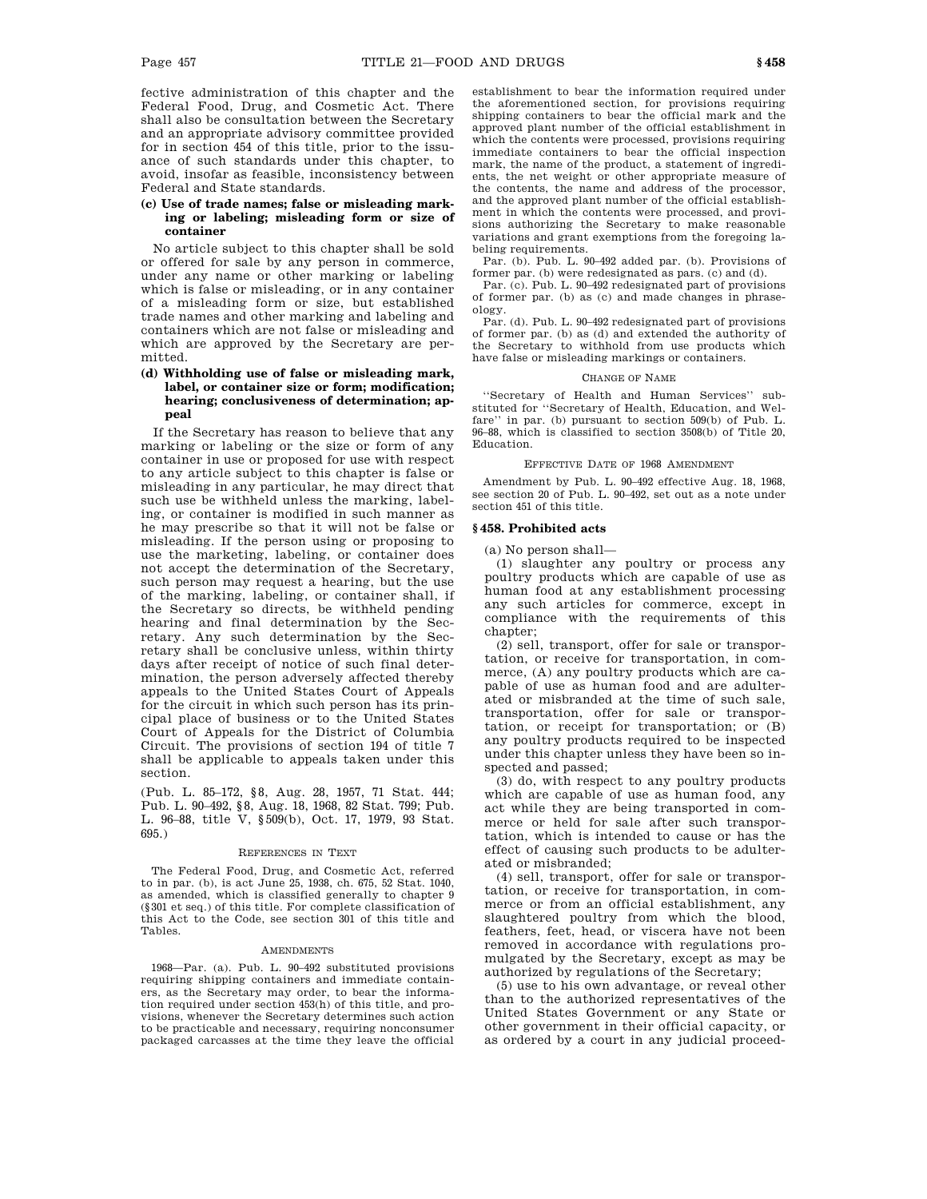fective administration of this chapter and the Federal Food, Drug, and Cosmetic Act. There shall also be consultation between the Secretary and an appropriate advisory committee provided for in section 454 of this title, prior to the issuance of such standards under this chapter, to avoid, insofar as feasible, inconsistency between Federal and State standards.

## **(c) Use of trade names; false or misleading marking or labeling; misleading form or size of container**

No article subject to this chapter shall be sold or offered for sale by any person in commerce, under any name or other marking or labeling which is false or misleading, or in any container of a misleading form or size, but established trade names and other marking and labeling and containers which are not false or misleading and which are approved by the Secretary are permitted.

## **(d) Withholding use of false or misleading mark, label, or container size or form; modification; hearing; conclusiveness of determination; appeal**

If the Secretary has reason to believe that any marking or labeling or the size or form of any container in use or proposed for use with respect to any article subject to this chapter is false or misleading in any particular, he may direct that such use be withheld unless the marking, labeling, or container is modified in such manner as he may prescribe so that it will not be false or misleading. If the person using or proposing to use the marketing, labeling, or container does not accept the determination of the Secretary, such person may request a hearing, but the use of the marking, labeling, or container shall, if the Secretary so directs, be withheld pending hearing and final determination by the Secretary. Any such determination by the Secretary shall be conclusive unless, within thirty days after receipt of notice of such final determination, the person adversely affected thereby appeals to the United States Court of Appeals for the circuit in which such person has its principal place of business or to the United States Court of Appeals for the District of Columbia Circuit. The provisions of section 194 of title 7 shall be applicable to appeals taken under this section.

(Pub. L. 85–172, §8, Aug. 28, 1957, 71 Stat. 444; Pub. L. 90–492, §8, Aug. 18, 1968, 82 Stat. 799; Pub. L. 96–88, title V, §509(b), Oct. 17, 1979, 93 Stat. 695.)

#### REFERENCES IN TEXT

The Federal Food, Drug, and Cosmetic Act, referred to in par. (b), is act June 25, 1938, ch. 675, 52 Stat. 1040, as amended, which is classified generally to chapter 9 (§301 et seq.) of this title. For complete classification of this Act to the Code, see section 301 of this title and Tables.

#### AMENDMENTS

1968—Par. (a). Pub. L. 90–492 substituted provisions requiring shipping containers and immediate containers, as the Secretary may order, to bear the information required under section 453(h) of this title, and provisions, whenever the Secretary determines such action to be practicable and necessary, requiring nonconsumer packaged carcasses at the time they leave the official

establishment to bear the information required under the aforementioned section, for provisions requiring shipping containers to bear the official mark and the approved plant number of the official establishment in which the contents were processed, provisions requiring immediate containers to bear the official inspection mark, the name of the product, a statement of ingredients, the net weight or other appropriate measure of the contents, the name and address of the processor, and the approved plant number of the official establishment in which the contents were processed, and provisions authorizing the Secretary to make reasonable variations and grant exemptions from the foregoing labeling requirements.

Par. (b). Pub. L. 90–492 added par. (b). Provisions of former par. (b) were redesignated as pars. (c) and (d).

Par. (c). Pub. L. 90–492 redesignated part of provisions of former par. (b) as (c) and made changes in phraseology.

Par. (d). Pub. L. 90–492 redesignated part of provisions of former par. (b) as (d) and extended the authority of the Secretary to withhold from use products which have false or misleading markings or containers.

#### CHANGE OF NAME

''Secretary of Health and Human Services'' substituted for ''Secretary of Health, Education, and Welfare'' in par. (b) pursuant to section 509(b) of Pub. L. 96–88, which is classified to section 3508(b) of Title 20, Education.

## EFFECTIVE DATE OF 1968 AMENDMENT

Amendment by Pub. L. 90–492 effective Aug. 18, 1968, see section 20 of Pub. L. 90–492, set out as a note under section 451 of this title.

## **§ 458. Prohibited acts**

(a) No person shall—

(1) slaughter any poultry or process any poultry products which are capable of use as human food at any establishment processing any such articles for commerce, except in compliance with the requirements of this chapter;

(2) sell, transport, offer for sale or transportation, or receive for transportation, in commerce, (A) any poultry products which are capable of use as human food and are adulterated or misbranded at the time of such sale, transportation, offer for sale or transportation, or receipt for transportation; or (B) any poultry products required to be inspected under this chapter unless they have been so inspected and passed;

(3) do, with respect to any poultry products which are capable of use as human food, any act while they are being transported in commerce or held for sale after such transportation, which is intended to cause or has the effect of causing such products to be adulterated or misbranded;

(4) sell, transport, offer for sale or transportation, or receive for transportation, in commerce or from an official establishment, any slaughtered poultry from which the blood, feathers, feet, head, or viscera have not been removed in accordance with regulations promulgated by the Secretary, except as may be authorized by regulations of the Secretary;

(5) use to his own advantage, or reveal other than to the authorized representatives of the United States Government or any State or other government in their official capacity, or as ordered by a court in any judicial proceed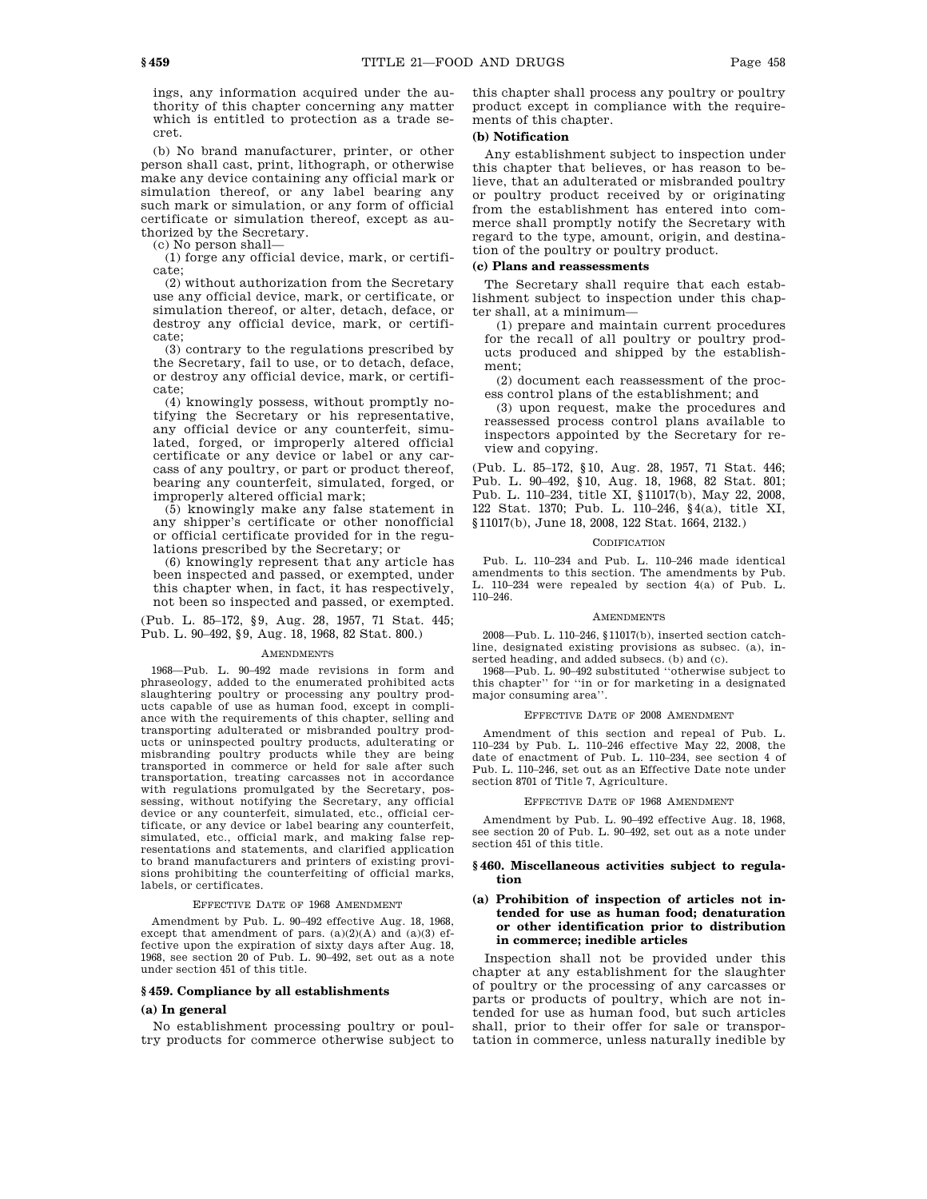ings, any information acquired under the authority of this chapter concerning any matter which is entitled to protection as a trade secret.

(b) No brand manufacturer, printer, or other person shall cast, print, lithograph, or otherwise make any device containing any official mark or simulation thereof, or any label bearing any such mark or simulation, or any form of official certificate or simulation thereof, except as authorized by the Secretary.

(c) No person shall—

(1) forge any official device, mark, or certificate;

(2) without authorization from the Secretary use any official device, mark, or certificate, or simulation thereof, or alter, detach, deface, or destroy any official device, mark, or certificate;

(3) contrary to the regulations prescribed by the Secretary, fail to use, or to detach, deface, or destroy any official device, mark, or certificate;

(4) knowingly possess, without promptly notifying the Secretary or his representative, any official device or any counterfeit, simulated, forged, or improperly altered official certificate or any device or label or any carcass of any poultry, or part or product thereof, bearing any counterfeit, simulated, forged, or improperly altered official mark;

(5) knowingly make any false statement in any shipper's certificate or other nonofficial or official certificate provided for in the regulations prescribed by the Secretary; or

(6) knowingly represent that any article has been inspected and passed, or exempted, under this chapter when, in fact, it has respectively, not been so inspected and passed, or exempted.

(Pub. L. 85–172, §9, Aug. 28, 1957, 71 Stat. 445; Pub. L. 90–492, §9, Aug. 18, 1968, 82 Stat. 800.)

#### **AMENDMENTS**

1968—Pub. L. 90–492 made revisions in form and phraseology, added to the enumerated prohibited acts slaughtering poultry or processing any poultry products capable of use as human food, except in compliance with the requirements of this chapter, selling and transporting adulterated or misbranded poultry products or uninspected poultry products, adulterating or misbranding poultry products while they are being transported in commerce or held for sale after such transportation, treating carcasses not in accordance with regulations promulgated by the Secretary, possessing, without notifying the Secretary, any official device or any counterfeit, simulated, etc., official certificate, or any device or label bearing any counterfeit, simulated, etc., official mark, and making false representations and statements, and clarified application to brand manufacturers and printers of existing provisions prohibiting the counterfeiting of official marks, labels, or certificates.

#### EFFECTIVE DATE OF 1968 AMENDMENT

Amendment by Pub. L. 90–492 effective Aug. 18, 1968, except that amendment of pars. (a)(2)(A) and (a)(3) effective upon the expiration of sixty days after Aug. 18, 1968, see section 20 of Pub. L. 90–492, set out as a note under section 451 of this title.

## **§ 459. Compliance by all establishments**

#### **(a) In general**

No establishment processing poultry or poultry products for commerce otherwise subject to this chapter shall process any poultry or poultry product except in compliance with the requirements of this chapter.

#### **(b) Notification**

Any establishment subject to inspection under this chapter that believes, or has reason to believe, that an adulterated or misbranded poultry or poultry product received by or originating from the establishment has entered into commerce shall promptly notify the Secretary with regard to the type, amount, origin, and destination of the poultry or poultry product.

#### **(c) Plans and reassessments**

The Secretary shall require that each establishment subject to inspection under this chapter shall, at a minimum—

(1) prepare and maintain current procedures for the recall of all poultry or poultry products produced and shipped by the establishment;

(2) document each reassessment of the process control plans of the establishment; and

(3) upon request, make the procedures and reassessed process control plans available to inspectors appointed by the Secretary for review and copying.

(Pub. L. 85–172, §10, Aug. 28, 1957, 71 Stat. 446; Pub. L. 90–492, §10, Aug. 18, 1968, 82 Stat. 801; Pub. L. 110–234, title XI, §11017(b), May 22, 2008, 122 Stat. 1370; Pub. L. 110–246, §4(a), title XI, §11017(b), June 18, 2008, 122 Stat. 1664, 2132.)

#### **CODIFICATION**

Pub. L. 110–234 and Pub. L. 110–246 made identical amendments to this section. The amendments by Pub. L. 110–234 were repealed by section 4(a) of Pub. L. 110–246.

#### AMENDMENTS

2008—Pub. L. 110–246, §11017(b), inserted section catchline, designated existing provisions as subsec. (a), inserted heading, and added subsecs. (b) and (c).

1968—Pub. L. 90–492 substituted ''otherwise subject to this chapter'' for ''in or for marketing in a designated major consuming area''.

## EFFECTIVE DATE OF 2008 AMENDMENT

Amendment of this section and repeal of Pub. L. 110–234 by Pub. L. 110–246 effective May 22, 2008, the date of enactment of Pub. L. 110–234, see section 4 of Pub. L. 110–246, set out as an Effective Date note under section 8701 of Title 7, Agriculture.

#### EFFECTIVE DATE OF 1968 AMENDMENT

Amendment by Pub. L. 90–492 effective Aug. 18, 1968, see section 20 of Pub. L. 90–492, set out as a note under section 451 of this title.

## **§ 460. Miscellaneous activities subject to regulation**

## **(a) Prohibition of inspection of articles not intended for use as human food; denaturation or other identification prior to distribution in commerce; inedible articles**

Inspection shall not be provided under this chapter at any establishment for the slaughter of poultry or the processing of any carcasses or parts or products of poultry, which are not intended for use as human food, but such articles shall, prior to their offer for sale or transportation in commerce, unless naturally inedible by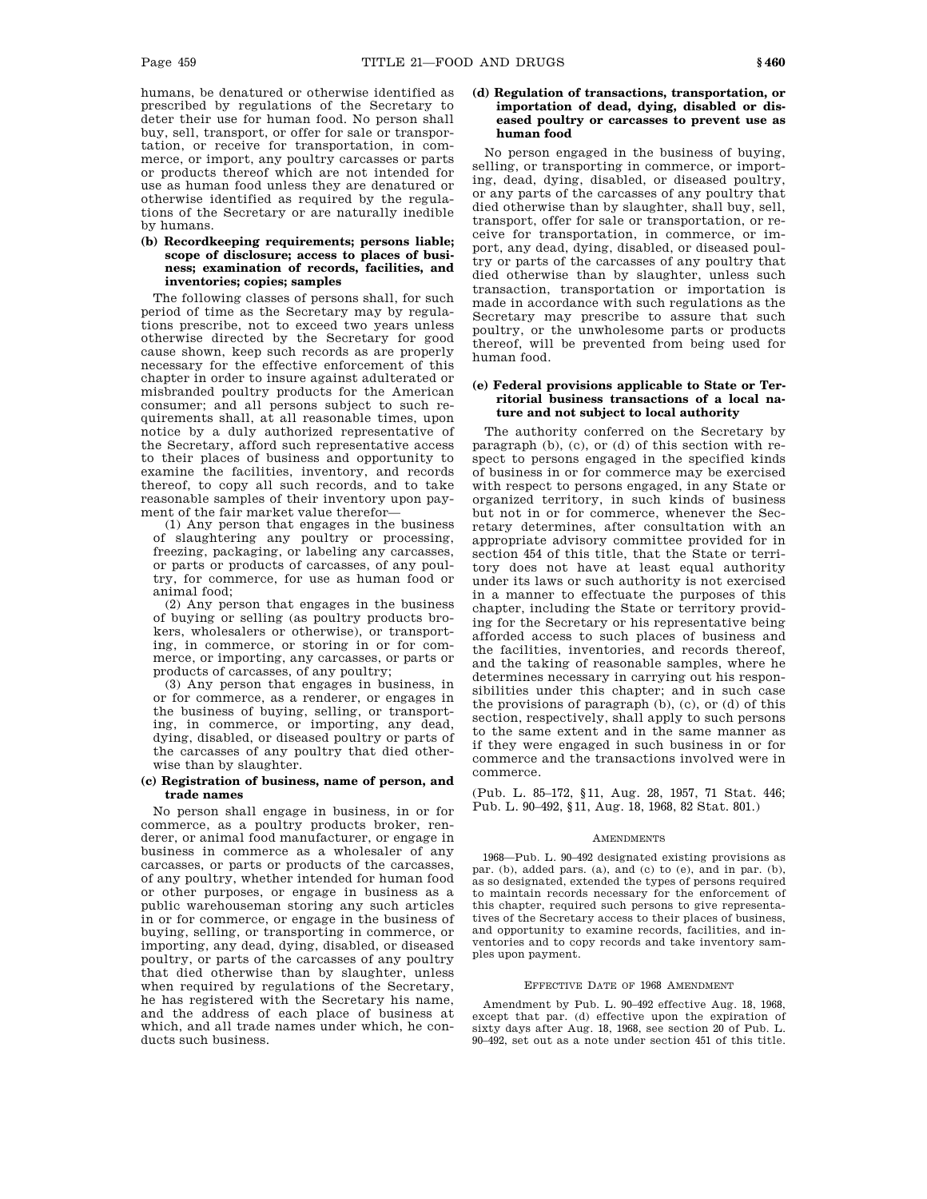humans, be denatured or otherwise identified as prescribed by regulations of the Secretary to deter their use for human food. No person shall buy, sell, transport, or offer for sale or transportation, or receive for transportation, in commerce, or import, any poultry carcasses or parts or products thereof which are not intended for use as human food unless they are denatured or otherwise identified as required by the regulations of the Secretary or are naturally inedible by humans.

## **(b) Recordkeeping requirements; persons liable; scope of disclosure; access to places of business; examination of records, facilities, and inventories; copies; samples**

The following classes of persons shall, for such period of time as the Secretary may by regulations prescribe, not to exceed two years unless otherwise directed by the Secretary for good cause shown, keep such records as are properly necessary for the effective enforcement of this chapter in order to insure against adulterated or misbranded poultry products for the American consumer; and all persons subject to such requirements shall, at all reasonable times, upon notice by a duly authorized representative of the Secretary, afford such representative access to their places of business and opportunity to examine the facilities, inventory, and records thereof, to copy all such records, and to take reasonable samples of their inventory upon payment of the fair market value therefor—

(1) Any person that engages in the business of slaughtering any poultry or processing, freezing, packaging, or labeling any carcasses, or parts or products of carcasses, of any poultry, for commerce, for use as human food or animal food;

(2) Any person that engages in the business of buying or selling (as poultry products brokers, wholesalers or otherwise), or transporting, in commerce, or storing in or for commerce, or importing, any carcasses, or parts or products of carcasses, of any poultry;

(3) Any person that engages in business, in or for commerce, as a renderer, or engages in the business of buying, selling, or transporting, in commerce, or importing, any dead, dying, disabled, or diseased poultry or parts of the carcasses of any poultry that died otherwise than by slaughter.

## **(c) Registration of business, name of person, and trade names**

No person shall engage in business, in or for commerce, as a poultry products broker, renderer, or animal food manufacturer, or engage in business in commerce as a wholesaler of any carcasses, or parts or products of the carcasses, of any poultry, whether intended for human food or other purposes, or engage in business as a public warehouseman storing any such articles in or for commerce, or engage in the business of buying, selling, or transporting in commerce, or importing, any dead, dying, disabled, or diseased poultry, or parts of the carcasses of any poultry that died otherwise than by slaughter, unless when required by regulations of the Secretary, he has registered with the Secretary his name, and the address of each place of business at which, and all trade names under which, he conducts such business.

## **(d) Regulation of transactions, transportation, or importation of dead, dying, disabled or diseased poultry or carcasses to prevent use as human food**

No person engaged in the business of buying, selling, or transporting in commerce, or importing, dead, dying, disabled, or diseased poultry, or any parts of the carcasses of any poultry that died otherwise than by slaughter, shall buy, sell, transport, offer for sale or transportation, or receive for transportation, in commerce, or import, any dead, dying, disabled, or diseased poultry or parts of the carcasses of any poultry that died otherwise than by slaughter, unless such transaction, transportation or importation is made in accordance with such regulations as the Secretary may prescribe to assure that such poultry, or the unwholesome parts or products thereof, will be prevented from being used for human food.

## **(e) Federal provisions applicable to State or Territorial business transactions of a local nature and not subject to local authority**

The authority conferred on the Secretary by paragraph (b), (c), or (d) of this section with respect to persons engaged in the specified kinds of business in or for commerce may be exercised with respect to persons engaged, in any State or organized territory, in such kinds of business but not in or for commerce, whenever the Secretary determines, after consultation with an appropriate advisory committee provided for in section 454 of this title, that the State or territory does not have at least equal authority under its laws or such authority is not exercised in a manner to effectuate the purposes of this chapter, including the State or territory providing for the Secretary or his representative being afforded access to such places of business and the facilities, inventories, and records thereof, and the taking of reasonable samples, where he determines necessary in carrying out his responsibilities under this chapter; and in such case the provisions of paragraph (b), (c), or (d) of this section, respectively, shall apply to such persons to the same extent and in the same manner as if they were engaged in such business in or for commerce and the transactions involved were in commerce.

(Pub. L. 85–172, §11, Aug. 28, 1957, 71 Stat. 446; Pub. L. 90–492, §11, Aug. 18, 1968, 82 Stat. 801.)

#### **AMENDMENTS**

1968—Pub. L. 90–492 designated existing provisions as par. (b), added pars. (a), and (c) to (e), and in par. (b), as so designated, extended the types of persons required to maintain records necessary for the enforcement of this chapter, required such persons to give representatives of the Secretary access to their places of business, and opportunity to examine records, facilities, and inventories and to copy records and take inventory samples upon payment.

#### EFFECTIVE DATE OF 1968 AMENDMENT

Amendment by Pub. L. 90–492 effective Aug. 18, 1968, except that par. (d) effective upon the expiration of sixty days after Aug. 18, 1968, see section 20 of Pub. L. 90–492, set out as a note under section 451 of this title.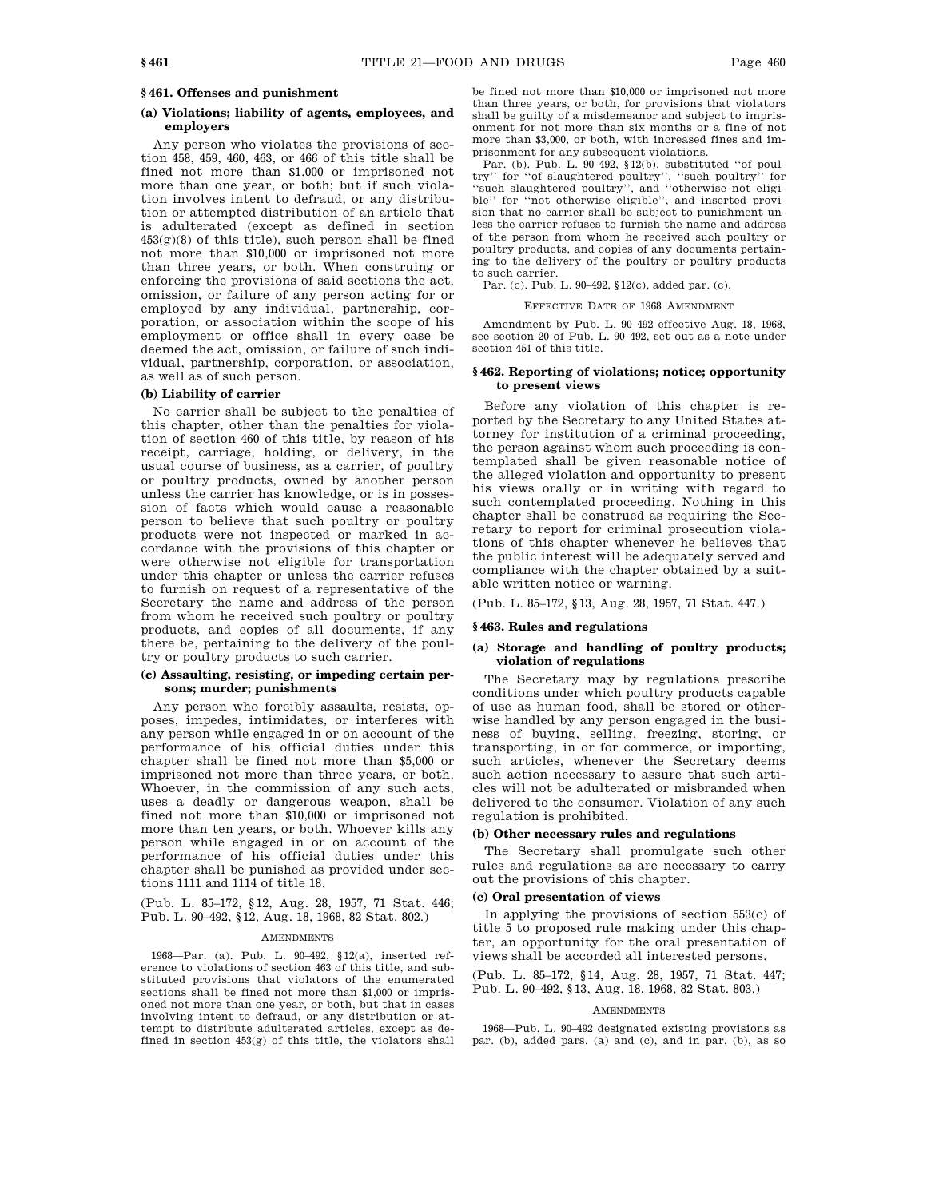## **(a) Violations; liability of agents, employees, and employers**

Any person who violates the provisions of section 458, 459, 460, 463, or 466 of this title shall be fined not more than \$1,000 or imprisoned not more than one year, or both; but if such violation involves intent to defraud, or any distribution or attempted distribution of an article that is adulterated (except as defined in section  $453(g)(8)$  of this title), such person shall be fined not more than \$10,000 or imprisoned not more than three years, or both. When construing or enforcing the provisions of said sections the act, omission, or failure of any person acting for or employed by any individual, partnership, corporation, or association within the scope of his employment or office shall in every case be deemed the act, omission, or failure of such individual, partnership, corporation, or association, as well as of such person.

#### **(b) Liability of carrier**

No carrier shall be subject to the penalties of this chapter, other than the penalties for violation of section 460 of this title, by reason of his receipt, carriage, holding, or delivery, in the usual course of business, as a carrier, of poultry or poultry products, owned by another person unless the carrier has knowledge, or is in possession of facts which would cause a reasonable person to believe that such poultry or poultry products were not inspected or marked in accordance with the provisions of this chapter or were otherwise not eligible for transportation under this chapter or unless the carrier refuses to furnish on request of a representative of the Secretary the name and address of the person from whom he received such poultry or poultry products, and copies of all documents, if any there be, pertaining to the delivery of the poultry or poultry products to such carrier.

## **(c) Assaulting, resisting, or impeding certain persons; murder; punishments**

Any person who forcibly assaults, resists, opposes, impedes, intimidates, or interferes with any person while engaged in or on account of the performance of his official duties under this chapter shall be fined not more than \$5,000 or imprisoned not more than three years, or both. Whoever, in the commission of any such acts, uses a deadly or dangerous weapon, shall be fined not more than \$10,000 or imprisoned not more than ten years, or both. Whoever kills any person while engaged in or on account of the performance of his official duties under this chapter shall be punished as provided under sections 1111 and 1114 of title 18.

(Pub. L. 85–172, §12, Aug. 28, 1957, 71 Stat. 446; Pub. L. 90–492, §12, Aug. 18, 1968, 82 Stat. 802.)

#### AMENDMENTS

1968—Par. (a). Pub. L. 90–492, §12(a), inserted reference to violations of section 463 of this title, and substituted provisions that violators of the enumerated sections shall be fined not more than \$1,000 or imprisoned not more than one year, or both, but that in cases involving intent to defraud, or any distribution or attempt to distribute adulterated articles, except as defined in section 453(g) of this title, the violators shall be fined not more than \$10,000 or imprisoned not more than three years, or both, for provisions that violators shall be guilty of a misdemeanor and subject to imprisonment for not more than six months or a fine of not more than \$3,000, or both, with increased fines and imprisonment for any subsequent violations.

Par. (b). Pub. L.  $90-492$ ,  $$12(b)$ , substituted "of poultry'' for ''of slaughtered poultry'', ''such poultry'' for ''such slaughtered poultry'', and ''otherwise not eligible'' for ''not otherwise eligible'', and inserted provision that no carrier shall be subject to punishment unless the carrier refuses to furnish the name and address of the person from whom he received such poultry or poultry products, and copies of any documents pertaining to the delivery of the poultry or poultry products to such carrier.

Par. (c). Pub. L. 90–492, §12(c), added par. (c).

#### EFFECTIVE DATE OF 1968 AMENDMENT

Amendment by Pub. L. 90–492 effective Aug. 18, 1968, see section 20 of Pub. L. 90–492, set out as a note under section 451 of this title.

## **§ 462. Reporting of violations; notice; opportunity to present views**

Before any violation of this chapter is reported by the Secretary to any United States attorney for institution of a criminal proceeding, the person against whom such proceeding is contemplated shall be given reasonable notice of the alleged violation and opportunity to present his views orally or in writing with regard to such contemplated proceeding. Nothing in this chapter shall be construed as requiring the Secretary to report for criminal prosecution violations of this chapter whenever he believes that the public interest will be adequately served and compliance with the chapter obtained by a suitable written notice or warning.

(Pub. L. 85–172, §13, Aug. 28, 1957, 71 Stat. 447.)

#### **§ 463. Rules and regulations**

## **(a) Storage and handling of poultry products; violation of regulations**

The Secretary may by regulations prescribe conditions under which poultry products capable of use as human food, shall be stored or otherwise handled by any person engaged in the business of buying, selling, freezing, storing, or transporting, in or for commerce, or importing, such articles, whenever the Secretary deems such action necessary to assure that such articles will not be adulterated or misbranded when delivered to the consumer. Violation of any such regulation is prohibited.

#### **(b) Other necessary rules and regulations**

The Secretary shall promulgate such other rules and regulations as are necessary to carry out the provisions of this chapter.

## **(c) Oral presentation of views**

In applying the provisions of section 553(c) of title 5 to proposed rule making under this chapter, an opportunity for the oral presentation of views shall be accorded all interested persons.

(Pub. L. 85–172, §14, Aug. 28, 1957, 71 Stat. 447; Pub. L. 90–492, §13, Aug. 18, 1968, 82 Stat. 803.)

#### AMENDMENTS

1968—Pub. L. 90–492 designated existing provisions as par. (b), added pars. (a) and (c), and in par. (b), as so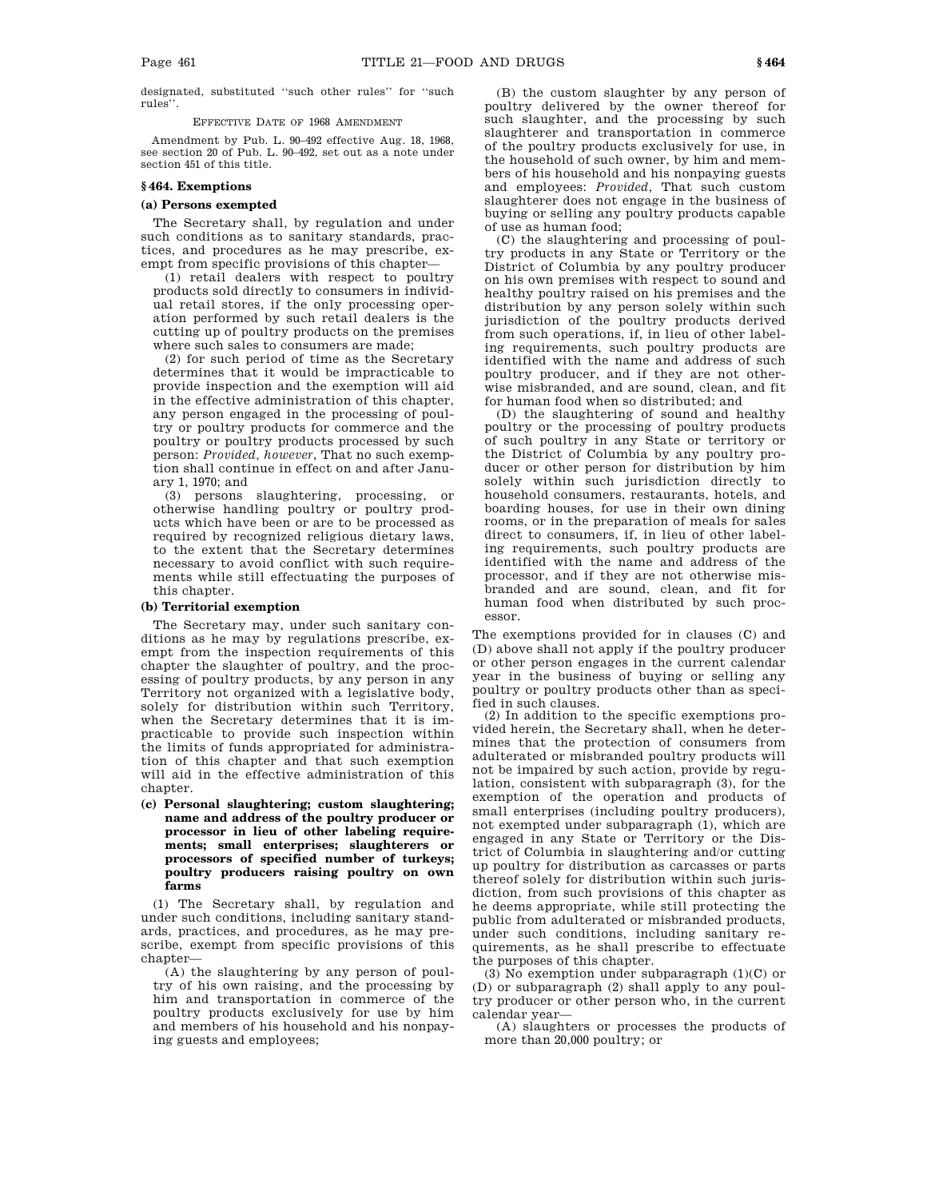designated, substituted ''such other rules'' for ''such rules''.

EFFECTIVE DATE OF 1968 AMENDMENT

Amendment by Pub. L. 90–492 effective Aug. 18, 1968, see section 20 of Pub. L. 90–492, set out as a note under section 451 of this title.

## **§ 464. Exemptions**

## **(a) Persons exempted**

The Secretary shall, by regulation and under such conditions as to sanitary standards, practices, and procedures as he may prescribe, exempt from specific provisions of this chapter—

(1) retail dealers with respect to poultry products sold directly to consumers in individual retail stores, if the only processing operation performed by such retail dealers is the cutting up of poultry products on the premises where such sales to consumers are made;

(2) for such period of time as the Secretary determines that it would be impracticable to provide inspection and the exemption will aid in the effective administration of this chapter, any person engaged in the processing of poultry or poultry products for commerce and the poultry or poultry products processed by such person: *Provided, however*, That no such exemption shall continue in effect on and after January 1, 1970; and

(3) persons slaughtering, processing, or otherwise handling poultry or poultry products which have been or are to be processed as required by recognized religious dietary laws, to the extent that the Secretary determines necessary to avoid conflict with such requirements while still effectuating the purposes of this chapter.

## **(b) Territorial exemption**

The Secretary may, under such sanitary conditions as he may by regulations prescribe, exempt from the inspection requirements of this chapter the slaughter of poultry, and the processing of poultry products, by any person in any Territory not organized with a legislative body, solely for distribution within such Territory, when the Secretary determines that it is impracticable to provide such inspection within the limits of funds appropriated for administration of this chapter and that such exemption will aid in the effective administration of this chapter.

**(c) Personal slaughtering; custom slaughtering; name and address of the poultry producer or processor in lieu of other labeling requirements; small enterprises; slaughterers or processors of specified number of turkeys; poultry producers raising poultry on own farms**

(1) The Secretary shall, by regulation and under such conditions, including sanitary standards, practices, and procedures, as he may prescribe, exempt from specific provisions of this chapter—

(A) the slaughtering by any person of poultry of his own raising, and the processing by him and transportation in commerce of the poultry products exclusively for use by him and members of his household and his nonpaying guests and employees;

(B) the custom slaughter by any person of poultry delivered by the owner thereof for such slaughter, and the processing by such slaughterer and transportation in commerce of the poultry products exclusively for use, in the household of such owner, by him and members of his household and his nonpaying guests and employees: *Provided*, That such custom slaughterer does not engage in the business of buying or selling any poultry products capable of use as human food;

(C) the slaughtering and processing of poultry products in any State or Territory or the District of Columbia by any poultry producer on his own premises with respect to sound and healthy poultry raised on his premises and the distribution by any person solely within such jurisdiction of the poultry products derived from such operations, if, in lieu of other labeling requirements, such poultry products are identified with the name and address of such poultry producer, and if they are not otherwise misbranded, and are sound, clean, and fit for human food when so distributed; and

(D) the slaughtering of sound and healthy poultry or the processing of poultry products of such poultry in any State or territory or the District of Columbia by any poultry producer or other person for distribution by him solely within such jurisdiction directly to household consumers, restaurants, hotels, and boarding houses, for use in their own dining rooms, or in the preparation of meals for sales direct to consumers, if, in lieu of other labeling requirements, such poultry products are identified with the name and address of the processor, and if they are not otherwise misbranded and are sound, clean, and fit for human food when distributed by such processor.

The exemptions provided for in clauses (C) and (D) above shall not apply if the poultry producer or other person engages in the current calendar year in the business of buying or selling any poultry or poultry products other than as specified in such clauses.

(2) In addition to the specific exemptions provided herein, the Secretary shall, when he determines that the protection of consumers from adulterated or misbranded poultry products will not be impaired by such action, provide by regulation, consistent with subparagraph (3), for the exemption of the operation and products of small enterprises (including poultry producers), not exempted under subparagraph (1), which are engaged in any State or Territory or the District of Columbia in slaughtering and/or cutting up poultry for distribution as carcasses or parts thereof solely for distribution within such jurisdiction, from such provisions of this chapter as he deems appropriate, while still protecting the public from adulterated or misbranded products, under such conditions, including sanitary requirements, as he shall prescribe to effectuate the purposes of this chapter.

(3) No exemption under subparagraph (1)(C) or (D) or subparagraph (2) shall apply to any poultry producer or other person who, in the current calendar year—

(A) slaughters or processes the products of more than 20,000 poultry; or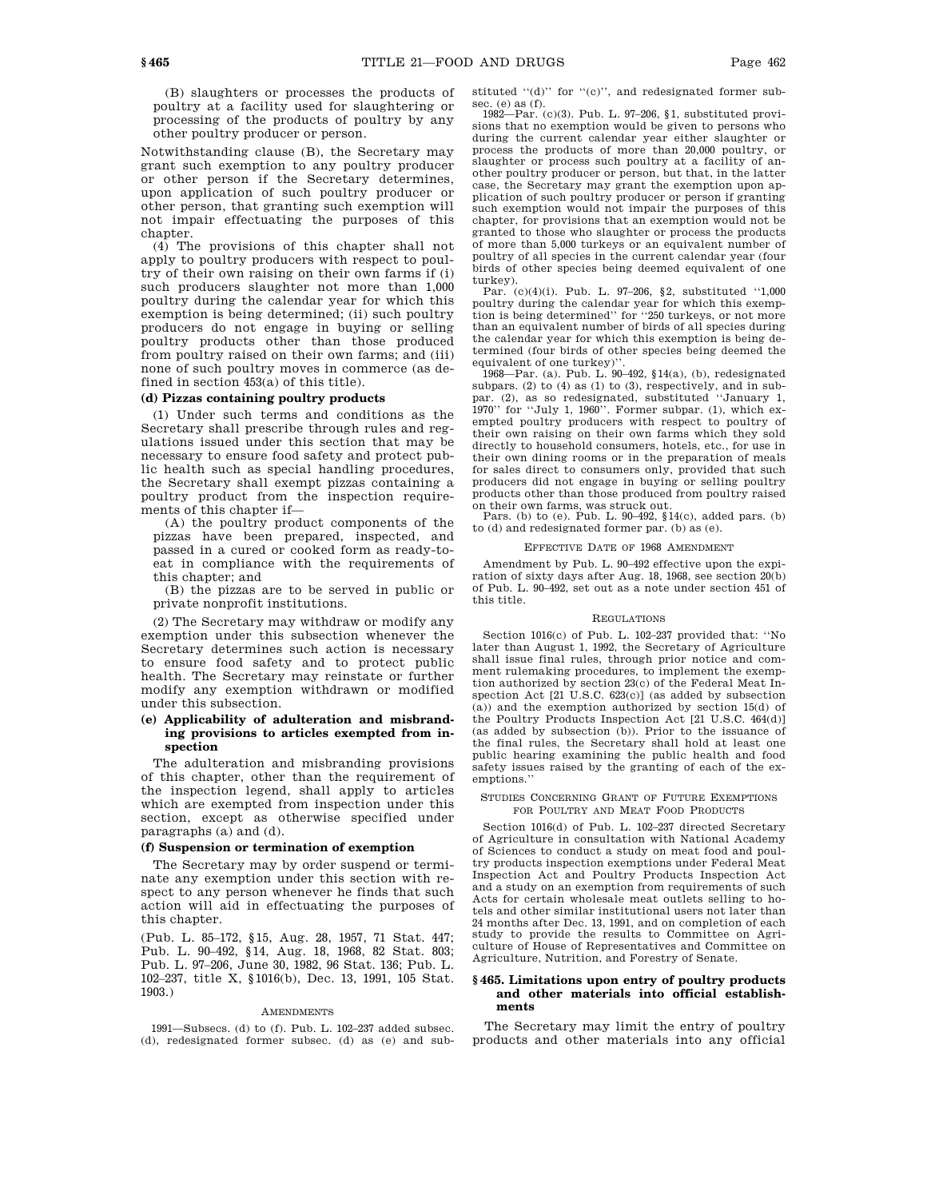(B) slaughters or processes the products of poultry at a facility used for slaughtering or processing of the products of poultry by any other poultry producer or person.

Notwithstanding clause (B), the Secretary may grant such exemption to any poultry producer or other person if the Secretary determines, upon application of such poultry producer or other person, that granting such exemption will not impair effectuating the purposes of this chapter.

(4) The provisions of this chapter shall not apply to poultry producers with respect to poultry of their own raising on their own farms if (i) such producers slaughter not more than 1,000 poultry during the calendar year for which this exemption is being determined; (ii) such poultry producers do not engage in buying or selling poultry products other than those produced from poultry raised on their own farms; and (iii) none of such poultry moves in commerce (as defined in section 453(a) of this title).

## **(d) Pizzas containing poultry products**

(1) Under such terms and conditions as the Secretary shall prescribe through rules and regulations issued under this section that may be necessary to ensure food safety and protect public health such as special handling procedures, the Secretary shall exempt pizzas containing a poultry product from the inspection requirements of this chapter if—

(A) the poultry product components of the pizzas have been prepared, inspected, and passed in a cured or cooked form as ready-toeat in compliance with the requirements of this chapter; and

(B) the pizzas are to be served in public or private nonprofit institutions.

(2) The Secretary may withdraw or modify any exemption under this subsection whenever the Secretary determines such action is necessary to ensure food safety and to protect public health. The Secretary may reinstate or further modify any exemption withdrawn or modified under this subsection.

## **(e) Applicability of adulteration and misbranding provisions to articles exempted from inspection**

The adulteration and misbranding provisions of this chapter, other than the requirement of the inspection legend, shall apply to articles which are exempted from inspection under this section, except as otherwise specified under paragraphs (a) and (d).

## **(f) Suspension or termination of exemption**

The Secretary may by order suspend or terminate any exemption under this section with respect to any person whenever he finds that such action will aid in effectuating the purposes of this chapter.

(Pub. L. 85–172, §15, Aug. 28, 1957, 71 Stat. 447; Pub. L. 90–492, §14, Aug. 18, 1968, 82 Stat. 803; Pub. L. 97–206, June 30, 1982, 96 Stat. 136; Pub. L. 102–237, title X, §1016(b), Dec. 13, 1991, 105 Stat. 1903.)

## AMENDMENTS

1991—Subsecs. (d) to (f). Pub. L. 102–237 added subsec. (d), redesignated former subsec. (d) as (e) and substituted "(d)" for "(c)", and redesignated former subsec. (e) as  $(f)$ .

1982—Par. (c)(3). Pub. L. 97–206, §1, substituted provisions that no exemption would be given to persons who during the current calendar year either slaughter or process the products of more than 20,000 poultry, or slaughter or process such poultry at a facility of another poultry producer or person, but that, in the latter case, the Secretary may grant the exemption upon application of such poultry producer or person if granting such exemption would not impair the purposes of this chapter, for provisions that an exemption would not be granted to those who slaughter or process the products of more than 5,000 turkeys or an equivalent number of poultry of all species in the current calendar year (four birds of other species being deemed equivalent of one turkey).

Par. (c)(4)(i). Pub. L. 97–206, §2, substituted ''1,000 poultry during the calendar year for which this exemption is being determined'' for ''250 turkeys, or not more than an equivalent number of birds of all species during the calendar year for which this exemption is being determined (four birds of other species being deemed the equivalent of one turkey)''.

1968—Par. (a). Pub. L. 90–492, §14(a), (b), redesignated subpars. (2) to (4) as (1) to (3), respectively, and in sub-par. (2), as so redesignated, substituted ''January 1, 1970'' for ''July 1, 1960''. Former subpar. (1), which exempted poultry producers with respect to poultry of their own raising on their own farms which they sold directly to household consumers, hotels, etc., for use in their own dining rooms or in the preparation of meals for sales direct to consumers only, provided that such producers did not engage in buying or selling poultry products other than those produced from poultry raised

on their own farms, was struck out. Pars. (b) to (e). Pub. L. 90–492, §14(c), added pars. (b) to (d) and redesignated former par. (b) as (e).

## EFFECTIVE DATE OF 1968 AMENDMENT

Amendment by Pub. L. 90–492 effective upon the expiration of sixty days after Aug. 18, 1968, see section 20(b) of Pub. L. 90–492, set out as a note under section 451 of this title.

#### REGULATIONS

Section 1016(c) of Pub. L. 102–237 provided that: ''No later than August 1, 1992, the Secretary of Agriculture shall issue final rules, through prior notice and comment rulemaking procedures, to implement the exemption authorized by section 23(c) of the Federal Meat Inspection Act [21 U.S.C. 623(c)] (as added by subsection (a)) and the exemption authorized by section 15(d) of the Poultry Products Inspection Act [21 U.S.C. 464(d)] (as added by subsection (b)). Prior to the issuance of the final rules, the Secretary shall hold at least one public hearing examining the public health and food safety issues raised by the granting of each of the exemptions.''

#### STUDIES CONCERNING GRANT OF FUTURE EXEMPTIONS FOR POULTRY AND MEAT FOOD PRODUCTS

Section 1016(d) of Pub. L. 102–237 directed Secretary of Agriculture in consultation with National Academy of Sciences to conduct a study on meat food and poultry products inspection exemptions under Federal Meat Inspection Act and Poultry Products Inspection Act and a study on an exemption from requirements of such Acts for certain wholesale meat outlets selling to hotels and other similar institutional users not later than 24 months after Dec. 13, 1991, and on completion of each study to provide the results to Committee on Agriculture of House of Representatives and Committee on Agriculture, Nutrition, and Forestry of Senate.

## **§ 465. Limitations upon entry of poultry products and other materials into official establishments**

The Secretary may limit the entry of poultry products and other materials into any official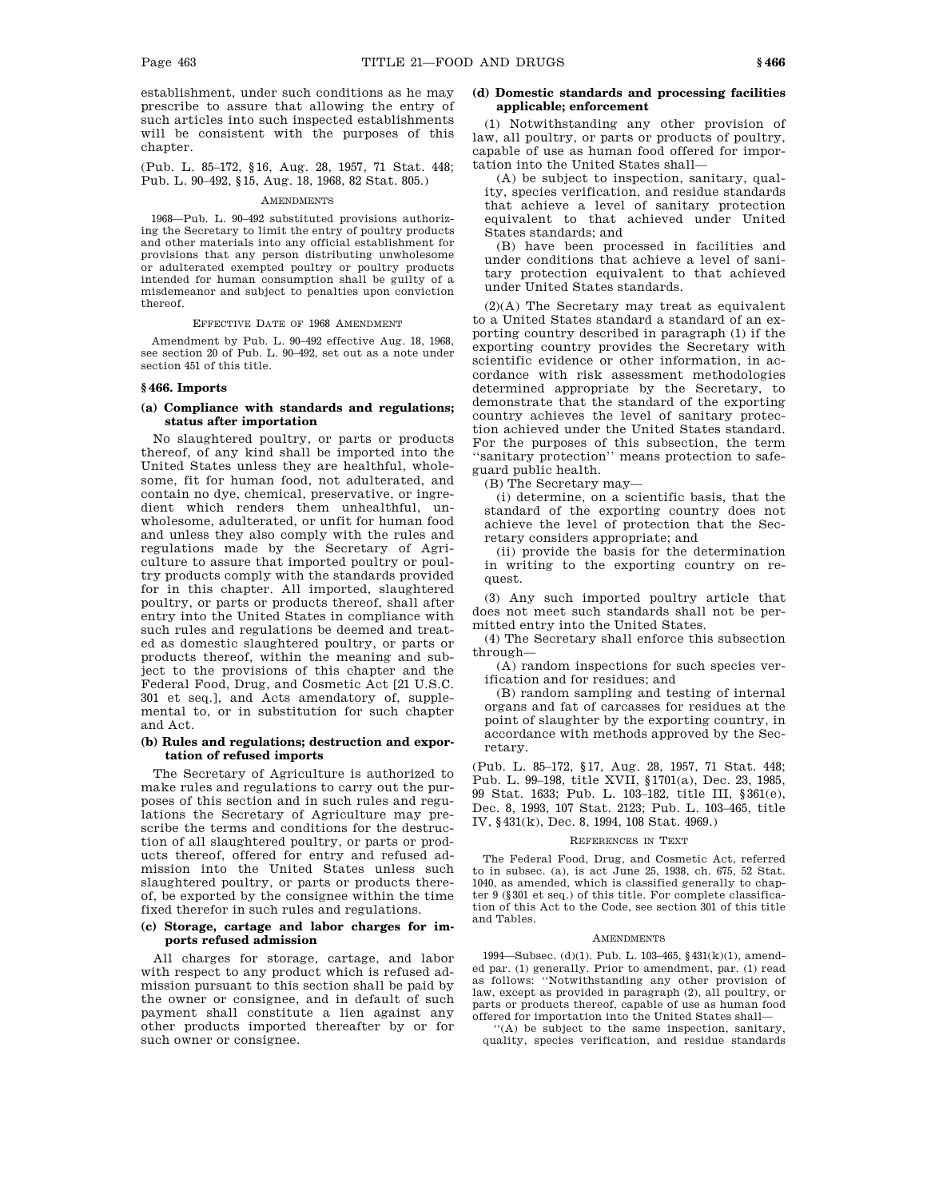establishment, under such conditions as he may prescribe to assure that allowing the entry of such articles into such inspected establishments will be consistent with the purposes of this chapter.

(Pub. L. 85–172, §16, Aug. 28, 1957, 71 Stat. 448; Pub. L. 90–492, §15, Aug. 18, 1968, 82 Stat. 805.)

#### **AMENDMENTS**

1968—Pub. L. 90–492 substituted provisions authorizing the Secretary to limit the entry of poultry products and other materials into any official establishment for provisions that any person distributing unwholesome or adulterated exempted poultry or poultry products intended for human consumption shall be guilty of a misdemeanor and subject to penalties upon conviction thereof.

EFFECTIVE DATE OF 1968 AMENDMENT

Amendment by Pub. L. 90–492 effective Aug. 18, 1968, see section 20 of Pub. L. 90–492, set out as a note under section 451 of this title.

#### **§ 466. Imports**

## **(a) Compliance with standards and regulations; status after importation**

No slaughtered poultry, or parts or products thereof, of any kind shall be imported into the United States unless they are healthful, wholesome, fit for human food, not adulterated, and contain no dye, chemical, preservative, or ingredient which renders them unhealthful, unwholesome, adulterated, or unfit for human food and unless they also comply with the rules and regulations made by the Secretary of Agriculture to assure that imported poultry or poultry products comply with the standards provided for in this chapter. All imported, slaughtered poultry, or parts or products thereof, shall after entry into the United States in compliance with such rules and regulations be deemed and treated as domestic slaughtered poultry, or parts or products thereof, within the meaning and subject to the provisions of this chapter and the Federal Food, Drug, and Cosmetic Act [21 U.S.C. 301 et seq.], and Acts amendatory of, supplemental to, or in substitution for such chapter and Act.

#### **(b) Rules and regulations; destruction and exportation of refused imports**

The Secretary of Agriculture is authorized to make rules and regulations to carry out the purposes of this section and in such rules and regulations the Secretary of Agriculture may prescribe the terms and conditions for the destruction of all slaughtered poultry, or parts or products thereof, offered for entry and refused admission into the United States unless such slaughtered poultry, or parts or products thereof, be exported by the consignee within the time fixed therefor in such rules and regulations.

## **(c) Storage, cartage and labor charges for imports refused admission**

All charges for storage, cartage, and labor with respect to any product which is refused admission pursuant to this section shall be paid by the owner or consignee, and in default of such payment shall constitute a lien against any other products imported thereafter by or for such owner or consignee.

## **(d) Domestic standards and processing facilities applicable; enforcement**

(1) Notwithstanding any other provision of law, all poultry, or parts or products of poultry, capable of use as human food offered for importation into the United States shall—

(A) be subject to inspection, sanitary, quality, species verification, and residue standards that achieve a level of sanitary protection equivalent to that achieved under United States standards; and

(B) have been processed in facilities and under conditions that achieve a level of sanitary protection equivalent to that achieved under United States standards.

(2)(A) The Secretary may treat as equivalent to a United States standard a standard of an exporting country described in paragraph (1) if the exporting country provides the Secretary with scientific evidence or other information, in accordance with risk assessment methodologies determined appropriate by the Secretary, to demonstrate that the standard of the exporting country achieves the level of sanitary protection achieved under the United States standard. For the purposes of this subsection, the term ''sanitary protection'' means protection to safeguard public health.

(B) The Secretary may—

(i) determine, on a scientific basis, that the standard of the exporting country does not achieve the level of protection that the Secretary considers appropriate; and

(ii) provide the basis for the determination in writing to the exporting country on request.

(3) Any such imported poultry article that does not meet such standards shall not be permitted entry into the United States.

(4) The Secretary shall enforce this subsection through—

(A) random inspections for such species verification and for residues; and

(B) random sampling and testing of internal organs and fat of carcasses for residues at the point of slaughter by the exporting country, in accordance with methods approved by the Secretary.

(Pub. L. 85–172, §17, Aug. 28, 1957, 71 Stat. 448; Pub. L. 99–198, title XVII, §1701(a), Dec. 23, 1985, 99 Stat. 1633; Pub. L. 103–182, title III, §361(e), Dec. 8, 1993, 107 Stat. 2123; Pub. L. 103–465, title IV, §431(k), Dec. 8, 1994, 108 Stat. 4969.)

#### REFERENCES IN TEXT

The Federal Food, Drug, and Cosmetic Act, referred to in subsec. (a), is act June 25, 1938, ch. 675, 52 Stat. 1040, as amended, which is classified generally to chapter 9 (§301 et seq.) of this title. For complete classification of this Act to the Code, see section 301 of this title and Tables.

### AMENDMENTS

1994—Subsec. (d)(1). Pub. L. 103–465, §431(k)(1), amended par. (1) generally. Prior to amendment, par. (1) read as follows: ''Notwithstanding any other provision of law, except as provided in paragraph (2), all poultry, or parts or products thereof, capable of use as human food offered for importation into the United States shall—

''(A) be subject to the same inspection, sanitary, quality, species verification, and residue standards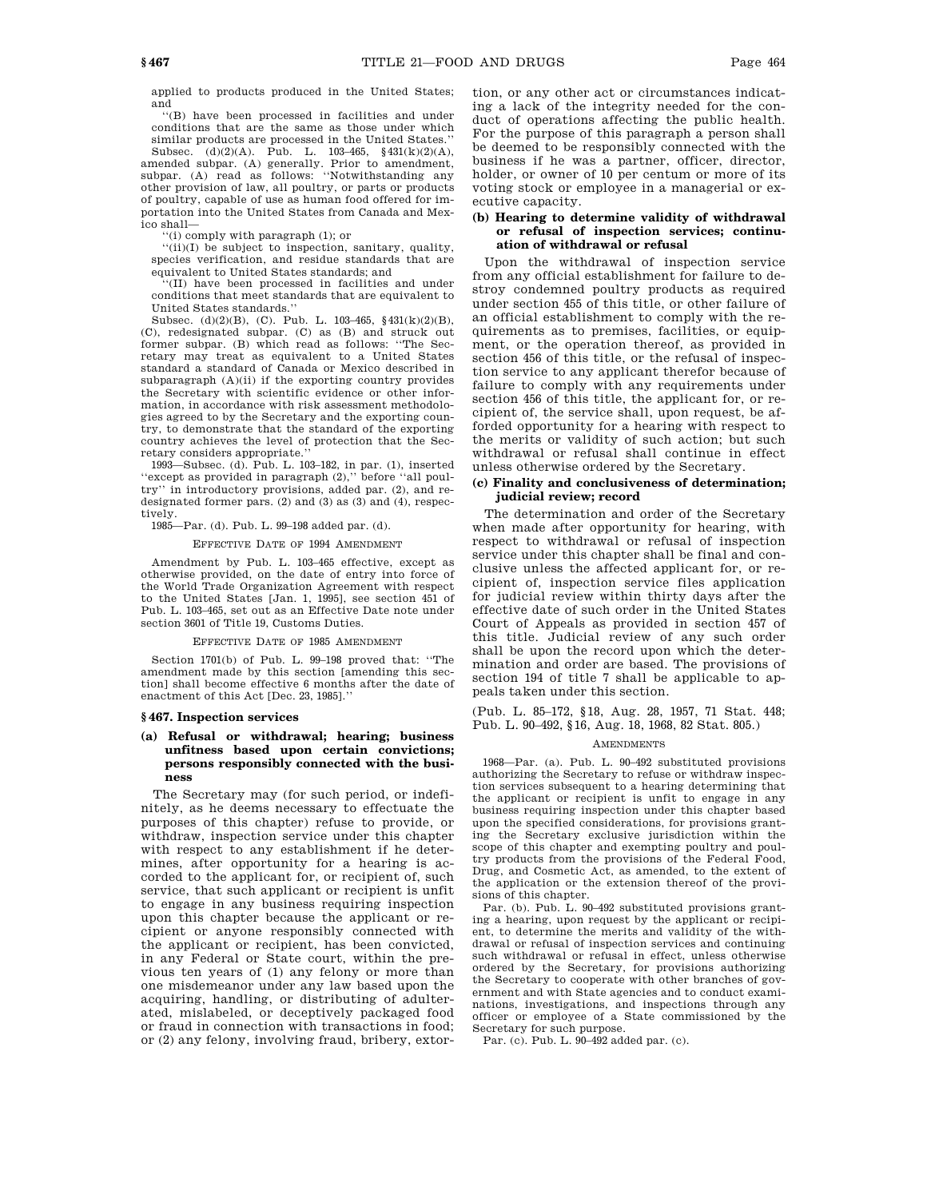applied to products produced in the United States; and

''(B) have been processed in facilities and under conditions that are the same as those under which similar products are processed in the United States.''

Subsec. (d)(2)(A). Pub. L. 103–465, §431(k)(2)(A), amended subpar. (A) generally. Prior to amendment, subpar. (A) read as follows: ''Notwithstanding any other provision of law, all poultry, or parts or products of poultry, capable of use as human food offered for importation into the United States from Canada and Mexico shall—

''(i) comply with paragraph (1); or

''(ii)(I) be subject to inspection, sanitary, quality, species verification, and residue standards that are equivalent to United States standards; and

'(II) have been processed in facilities and under conditions that meet standards that are equivalent to United States standards.''

Subsec. (d)(2)(B), (C). Pub. L. 103–465, §431(k)(2)(B), (C), redesignated subpar. (C) as (B) and struck out former subpar. (B) which read as follows: ''The Secretary may treat as equivalent to a United States standard a standard of Canada or Mexico described in  $\text{subparam}(\mathbf{A})(\text{ii})$  if the exporting country provides the Secretary with scientific evidence or other information, in accordance with risk assessment methodologies agreed to by the Secretary and the exporting country, to demonstrate that the standard of the exporting country achieves the level of protection that the Secretary considers appropriate.''

1993—Subsec. (d). Pub. L. 103–182, in par. (1), inserted ''except as provided in paragraph (2),'' before ''all poultry'' in introductory provisions, added par. (2), and redesignated former pars. (2) and (3) as (3) and (4), respectively.

1985—Par. (d). Pub. L. 99–198 added par. (d).

EFFECTIVE DATE OF 1994 AMENDMENT

Amendment by Pub. L. 103–465 effective, except as otherwise provided, on the date of entry into force of the World Trade Organization Agreement with respect to the United States [Jan. 1, 1995], see section 451 of Pub. L. 103–465, set out as an Effective Date note under section 3601 of Title 19, Customs Duties.

#### EFFECTIVE DATE OF 1985 AMENDMENT

Section 1701(b) of Pub. L. 99–198 proved that: ''The amendment made by this section [amending this section] shall become effective 6 months after the date of enactment of this Act [Dec. 23, 1985].''

#### **§ 467. Inspection services**

## **(a) Refusal or withdrawal; hearing; business unfitness based upon certain convictions; persons responsibly connected with the business**

The Secretary may (for such period, or indefinitely, as he deems necessary to effectuate the purposes of this chapter) refuse to provide, or withdraw, inspection service under this chapter with respect to any establishment if he determines, after opportunity for a hearing is accorded to the applicant for, or recipient of, such service, that such applicant or recipient is unfit to engage in any business requiring inspection upon this chapter because the applicant or recipient or anyone responsibly connected with the applicant or recipient, has been convicted, in any Federal or State court, within the previous ten years of (1) any felony or more than one misdemeanor under any law based upon the acquiring, handling, or distributing of adulterated, mislabeled, or deceptively packaged food or fraud in connection with transactions in food; or (2) any felony, involving fraud, bribery, extortion, or any other act or circumstances indicating a lack of the integrity needed for the conduct of operations affecting the public health. For the purpose of this paragraph a person shall be deemed to be responsibly connected with the business if he was a partner, officer, director, holder, or owner of 10 per centum or more of its voting stock or employee in a managerial or executive capacity.

## **(b) Hearing to determine validity of withdrawal or refusal of inspection services; continuation of withdrawal or refusal**

Upon the withdrawal of inspection service from any official establishment for failure to destroy condemned poultry products as required under section 455 of this title, or other failure of an official establishment to comply with the requirements as to premises, facilities, or equipment, or the operation thereof, as provided in section 456 of this title, or the refusal of inspection service to any applicant therefor because of failure to comply with any requirements under section 456 of this title, the applicant for, or recipient of, the service shall, upon request, be afforded opportunity for a hearing with respect to the merits or validity of such action; but such withdrawal or refusal shall continue in effect unless otherwise ordered by the Secretary.

## **(c) Finality and conclusiveness of determination; judicial review; record**

The determination and order of the Secretary when made after opportunity for hearing, with respect to withdrawal or refusal of inspection service under this chapter shall be final and conclusive unless the affected applicant for, or recipient of, inspection service files application for judicial review within thirty days after the effective date of such order in the United States Court of Appeals as provided in section 457 of this title. Judicial review of any such order shall be upon the record upon which the determination and order are based. The provisions of section 194 of title 7 shall be applicable to appeals taken under this section.

(Pub. L. 85–172, §18, Aug. 28, 1957, 71 Stat. 448; Pub. L. 90–492, §16, Aug. 18, 1968, 82 Stat. 805.)

#### AMENDMENTS

1968—Par. (a). Pub. L. 90–492 substituted provisions authorizing the Secretary to refuse or withdraw inspection services subsequent to a hearing determining that the applicant or recipient is unfit to engage in any business requiring inspection under this chapter based upon the specified considerations, for provisions granting the Secretary exclusive jurisdiction within the scope of this chapter and exempting poultry and poultry products from the provisions of the Federal Food, Drug, and Cosmetic Act, as amended, to the extent of the application or the extension thereof of the provisions of this chapter.

Par. (b). Pub. L. 90–492 substituted provisions granting a hearing, upon request by the applicant or recipient, to determine the merits and validity of the withdrawal or refusal of inspection services and continuing such withdrawal or refusal in effect, unless otherwise ordered by the Secretary, for provisions authorizing the Secretary to cooperate with other branches of government and with State agencies and to conduct examinations, investigations, and inspections through any officer or employee of a State commissioned by the Secretary for such purpose.

Par. (c). Pub. L. 90–492 added par. (c).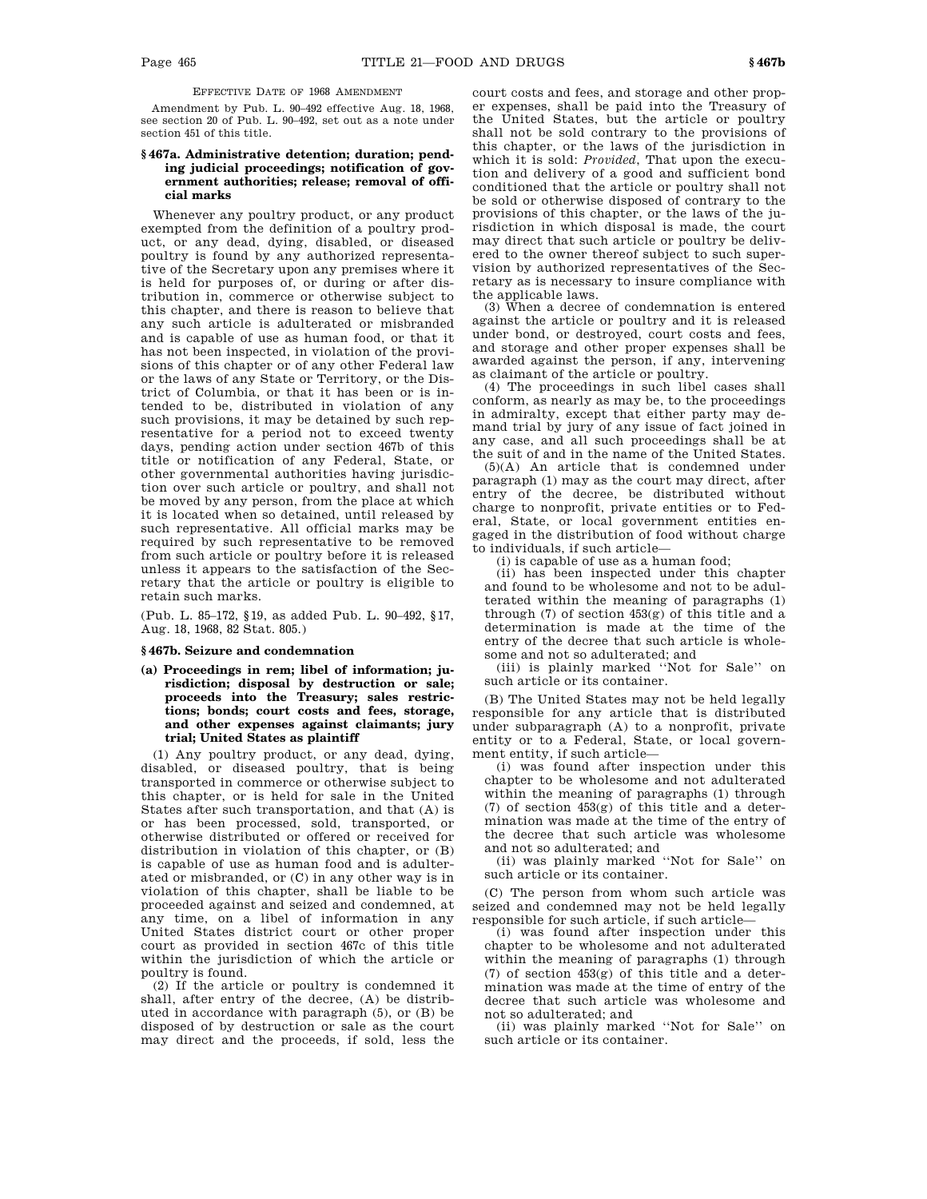EFFECTIVE DATE OF 1968 AMENDMENT

Amendment by Pub. L. 90–492 effective Aug. 18, 1968, see section 20 of Pub. L. 90–492, set out as a note under section 451 of this title.

## **§ 467a. Administrative detention; duration; pending judicial proceedings; notification of government authorities; release; removal of official marks**

Whenever any poultry product, or any product exempted from the definition of a poultry product, or any dead, dying, disabled, or diseased poultry is found by any authorized representative of the Secretary upon any premises where it is held for purposes of, or during or after distribution in, commerce or otherwise subject to this chapter, and there is reason to believe that any such article is adulterated or misbranded and is capable of use as human food, or that it has not been inspected, in violation of the provisions of this chapter or of any other Federal law or the laws of any State or Territory, or the District of Columbia, or that it has been or is intended to be, distributed in violation of any such provisions, it may be detained by such representative for a period not to exceed twenty days, pending action under section 467b of this title or notification of any Federal, State, or other governmental authorities having jurisdiction over such article or poultry, and shall not be moved by any person, from the place at which it is located when so detained, until released by such representative. All official marks may be required by such representative to be removed from such article or poultry before it is released unless it appears to the satisfaction of the Secretary that the article or poultry is eligible to retain such marks.

(Pub. L. 85–172, §19, as added Pub. L. 90–492, §17, Aug. 18, 1968, 82 Stat. 805.)

#### **§ 467b. Seizure and condemnation**

**(a) Proceedings in rem; libel of information; jurisdiction; disposal by destruction or sale; proceeds into the Treasury; sales restrictions; bonds; court costs and fees, storage, and other expenses against claimants; jury trial; United States as plaintiff**

(1) Any poultry product, or any dead, dying, disabled, or diseased poultry, that is being transported in commerce or otherwise subject to this chapter, or is held for sale in the United States after such transportation, and that (A) is or has been processed, sold, transported, or otherwise distributed or offered or received for distribution in violation of this chapter, or (B) is capable of use as human food and is adulterated or misbranded, or (C) in any other way is in violation of this chapter, shall be liable to be proceeded against and seized and condemned, at any time, on a libel of information in any United States district court or other proper court as provided in section 467c of this title within the jurisdiction of which the article or poultry is found.

(2) If the article or poultry is condemned it shall, after entry of the decree, (A) be distributed in accordance with paragraph (5), or (B) be disposed of by destruction or sale as the court may direct and the proceeds, if sold, less the

court costs and fees, and storage and other proper expenses, shall be paid into the Treasury of the United States, but the article or poultry shall not be sold contrary to the provisions of this chapter, or the laws of the jurisdiction in which it is sold: *Provided*, That upon the execution and delivery of a good and sufficient bond conditioned that the article or poultry shall not be sold or otherwise disposed of contrary to the provisions of this chapter, or the laws of the jurisdiction in which disposal is made, the court may direct that such article or poultry be delivered to the owner thereof subject to such supervision by authorized representatives of the Secretary as is necessary to insure compliance with the applicable laws.

(3) When a decree of condemnation is entered against the article or poultry and it is released under bond, or destroyed, court costs and fees, and storage and other proper expenses shall be awarded against the person, if any, intervening as claimant of the article or poultry.

(4) The proceedings in such libel cases shall conform, as nearly as may be, to the proceedings in admiralty, except that either party may demand trial by jury of any issue of fact joined in any case, and all such proceedings shall be at the suit of and in the name of the United States.

(5)(A) An article that is condemned under paragraph (1) may as the court may direct, after entry of the decree, be distributed without charge to nonprofit, private entities or to Federal, State, or local government entities engaged in the distribution of food without charge to individuals, if such article—

(i) is capable of use as a human food;

(ii) has been inspected under this chapter and found to be wholesome and not to be adulterated within the meaning of paragraphs (1) through (7) of section 453(g) of this title and a determination is made at the time of the entry of the decree that such article is wholesome and not so adulterated; and

(iii) is plainly marked ''Not for Sale'' on such article or its container.

(B) The United States may not be held legally responsible for any article that is distributed under subparagraph (A) to a nonprofit, private entity or to a Federal, State, or local government entity, if such article—

(i) was found after inspection under this chapter to be wholesome and not adulterated within the meaning of paragraphs (1) through (7) of section 453(g) of this title and a determination was made at the time of the entry of the decree that such article was wholesome and not so adulterated; and

(ii) was plainly marked ''Not for Sale'' on such article or its container.

(C) The person from whom such article was seized and condemned may not be held legally responsible for such article, if such article—

(i) was found after inspection under this chapter to be wholesome and not adulterated within the meaning of paragraphs (1) through (7) of section 453(g) of this title and a determination was made at the time of entry of the decree that such article was wholesome and not so adulterated; and

(ii) was plainly marked ''Not for Sale'' on such article or its container.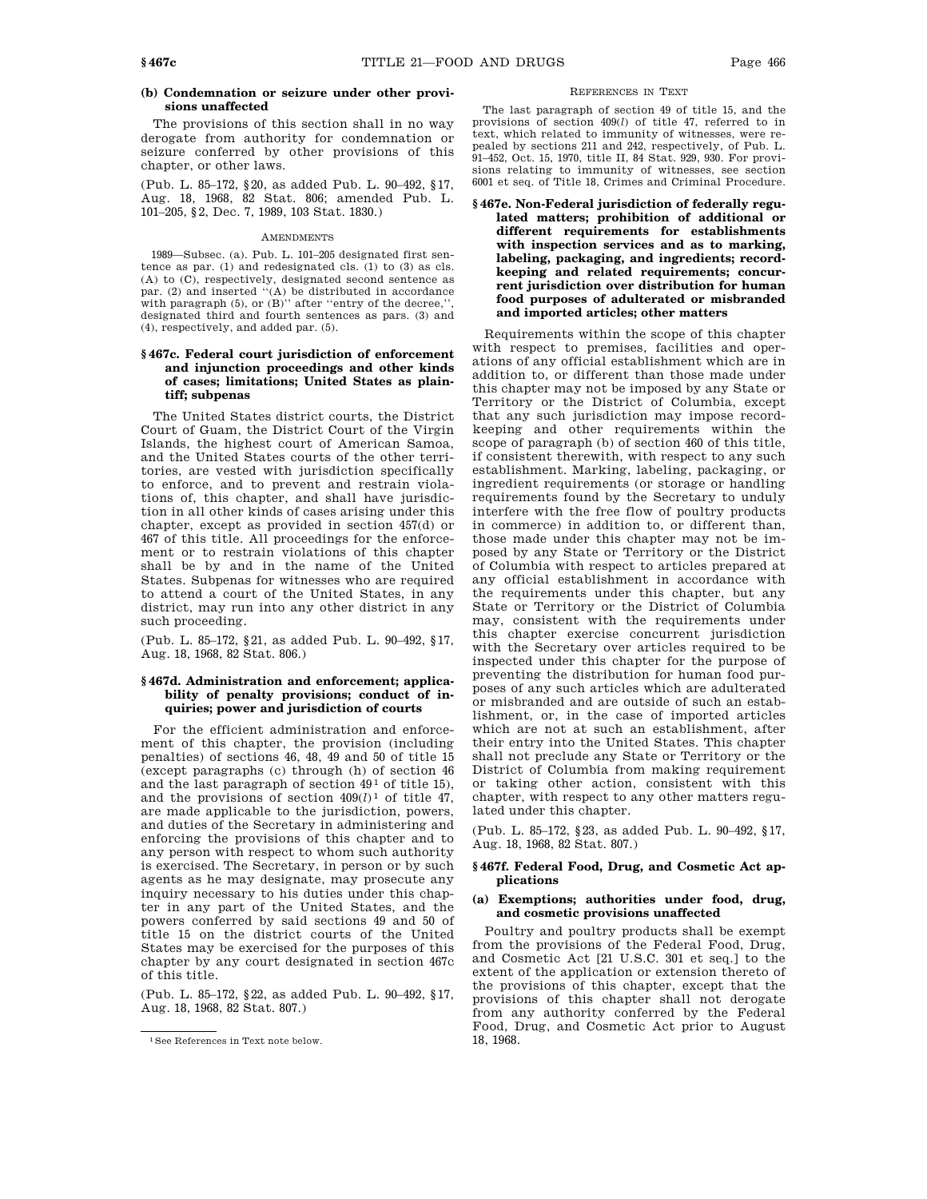## **(b) Condemnation or seizure under other provisions unaffected**

The provisions of this section shall in no way derogate from authority for condemnation or seizure conferred by other provisions of this chapter, or other laws.

(Pub. L. 85–172, §20, as added Pub. L. 90–492, §17, Aug. 18, 1968, 82 Stat. 806; amended Pub. L. 101–205, §2, Dec. 7, 1989, 103 Stat. 1830.)

#### AMENDMENTS

1989—Subsec. (a). Pub. L. 101–205 designated first sentence as par. (1) and redesignated cls. (1) to (3) as cls. (A) to (C), respectively, designated second sentence as par. (2) and inserted ''(A) be distributed in accordance with paragraph  $(5)$ , or  $(B)$ " after "entry of the decree," designated third and fourth sentences as pars. (3) and (4), respectively, and added par. (5).

## **§ 467c. Federal court jurisdiction of enforcement and injunction proceedings and other kinds of cases; limitations; United States as plaintiff; subpenas**

The United States district courts, the District Court of Guam, the District Court of the Virgin Islands, the highest court of American Samoa, and the United States courts of the other territories, are vested with jurisdiction specifically to enforce, and to prevent and restrain violations of, this chapter, and shall have jurisdiction in all other kinds of cases arising under this chapter, except as provided in section 457(d) or 467 of this title. All proceedings for the enforcement or to restrain violations of this chapter shall be by and in the name of the United States. Subpenas for witnesses who are required to attend a court of the United States, in any district, may run into any other district in any such proceeding.

(Pub. L. 85–172, §21, as added Pub. L. 90–492, §17, Aug. 18, 1968, 82 Stat. 806.)

## **§ 467d. Administration and enforcement; applicability of penalty provisions; conduct of inquiries; power and jurisdiction of courts**

For the efficient administration and enforcement of this chapter, the provision (including penalties) of sections 46, 48, 49 and 50 of title 15 (except paragraphs (c) through (h) of section 46 and the last paragraph of section  $49<sup>1</sup>$  of title 15), and the provisions of section 409(*l*) 1 of title 47, are made applicable to the jurisdiction, powers, and duties of the Secretary in administering and enforcing the provisions of this chapter and to any person with respect to whom such authority is exercised. The Secretary, in person or by such agents as he may designate, may prosecute any inquiry necessary to his duties under this chapter in any part of the United States, and the powers conferred by said sections 49 and 50 of title 15 on the district courts of the United States may be exercised for the purposes of this chapter by any court designated in section 467c of this title.

(Pub. L. 85–172, §22, as added Pub. L. 90–492, §17, Aug. 18, 1968, 82 Stat. 807.)

## REFERENCES IN TEXT

The last paragraph of section 49 of title 15, and the provisions of section 409(*l*) of title 47, referred to in text, which related to immunity of witnesses, were repealed by sections 211 and 242, respectively, of Pub. L. 91–452, Oct. 15, 1970, title II, 84 Stat. 929, 930. For provisions relating to immunity of witnesses, see section 6001 et seq. of Title 18, Crimes and Criminal Procedure.

**§ 467e. Non-Federal jurisdiction of federally regulated matters; prohibition of additional or different requirements for establishments with inspection services and as to marking, labeling, packaging, and ingredients; recordkeeping and related requirements; concurrent jurisdiction over distribution for human food purposes of adulterated or misbranded and imported articles; other matters**

Requirements within the scope of this chapter with respect to premises, facilities and operations of any official establishment which are in addition to, or different than those made under this chapter may not be imposed by any State or Territory or the District of Columbia, except that any such jurisdiction may impose recordkeeping and other requirements within the scope of paragraph (b) of section 460 of this title, if consistent therewith, with respect to any such establishment. Marking, labeling, packaging, or ingredient requirements (or storage or handling requirements found by the Secretary to unduly interfere with the free flow of poultry products in commerce) in addition to, or different than, those made under this chapter may not be imposed by any State or Territory or the District of Columbia with respect to articles prepared at any official establishment in accordance with the requirements under this chapter, but any State or Territory or the District of Columbia may, consistent with the requirements under this chapter exercise concurrent jurisdiction with the Secretary over articles required to be inspected under this chapter for the purpose of preventing the distribution for human food purposes of any such articles which are adulterated or misbranded and are outside of such an establishment, or, in the case of imported articles which are not at such an establishment, after their entry into the United States. This chapter shall not preclude any State or Territory or the District of Columbia from making requirement or taking other action, consistent with this chapter, with respect to any other matters regulated under this chapter.

(Pub. L. 85–172, §23, as added Pub. L. 90–492, §17, Aug. 18, 1968, 82 Stat. 807.)

## **§ 467f. Federal Food, Drug, and Cosmetic Act applications**

## **(a) Exemptions; authorities under food, drug, and cosmetic provisions unaffected**

Poultry and poultry products shall be exempt from the provisions of the Federal Food, Drug, and Cosmetic Act [21 U.S.C. 301 et seq.] to the extent of the application or extension thereto of the provisions of this chapter, except that the provisions of this chapter shall not derogate from any authority conferred by the Federal Food, Drug, and Cosmetic Act prior to August 18, 1968.

<sup>1</sup>See References in Text note below.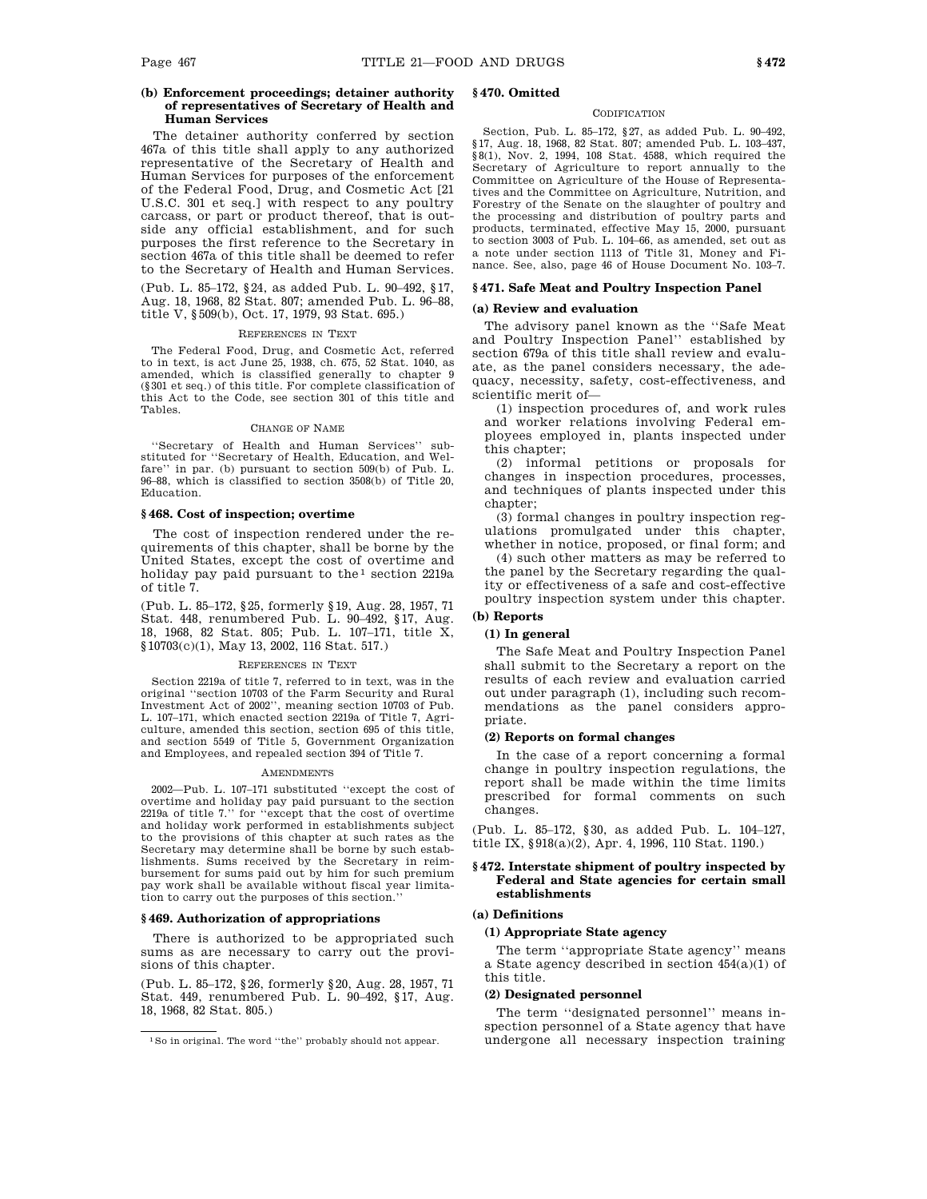## **(b) Enforcement proceedings; detainer authority of representatives of Secretary of Health and Human Services**

The detainer authority conferred by section 467a of this title shall apply to any authorized representative of the Secretary of Health and Human Services for purposes of the enforcement of the Federal Food, Drug, and Cosmetic Act [21 U.S.C. 301 et seq.] with respect to any poultry carcass, or part or product thereof, that is outside any official establishment, and for such purposes the first reference to the Secretary in section 467a of this title shall be deemed to refer to the Secretary of Health and Human Services.

(Pub. L. 85–172, §24, as added Pub. L. 90–492, §17, Aug. 18, 1968, 82 Stat. 807; amended Pub. L. 96–88, title V, §509(b), Oct. 17, 1979, 93 Stat. 695.)

#### REFERENCES IN TEXT

The Federal Food, Drug, and Cosmetic Act, referred to in text, is act June 25, 1938, ch. 675, 52 Stat. 1040, as amended, which is classified generally to chapter 9 (§301 et seq.) of this title. For complete classification of this Act to the Code, see section 301 of this title and Tables.

#### CHANGE OF NAME

''Secretary of Health and Human Services'' sub-stituted for ''Secretary of Health, Education, and Welfare'' in par. (b) pursuant to section 509(b) of Pub. L. 96–88, which is classified to section 3508(b) of Title 20, Education.

## **§ 468. Cost of inspection; overtime**

The cost of inspection rendered under the requirements of this chapter, shall be borne by the United States, except the cost of overtime and holiday pay paid pursuant to the  $1$  section 2219a of title 7.

(Pub. L. 85–172, §25, formerly §19, Aug. 28, 1957, 71 Stat. 448, renumbered Pub. L. 90–492, §17, Aug. 18, 1968, 82 Stat. 805; Pub. L. 107–171, title X, §10703(c)(1), May 13, 2002, 116 Stat. 517.)

#### REFERENCES IN TEXT

Section 2219a of title 7, referred to in text, was in the original ''section 10703 of the Farm Security and Rural Investment Act of 2002'', meaning section 10703 of Pub. L. 107–171, which enacted section 2219a of Title 7, Agriculture, amended this section, section 695 of this title, and section 5549 of Title 5, Government Organization and Employees, and repealed section 394 of Title 7.

#### AMENDMENTS

2002—Pub. L. 107–171 substituted ''except the cost of overtime and holiday pay paid pursuant to the section 2219a of title 7.'' for ''except that the cost of overtime and holiday work performed in establishments subject to the provisions of this chapter at such rates as the Secretary may determine shall be borne by such establishments. Sums received by the Secretary in reimbursement for sums paid out by him for such premium pay work shall be available without fiscal year limitation to carry out the purposes of this section.''

#### **§ 469. Authorization of appropriations**

There is authorized to be appropriated such sums as are necessary to carry out the provisions of this chapter.

(Pub. L. 85–172, §26, formerly §20, Aug. 28, 1957, 71 Stat. 449, renumbered Pub. L. 90–492, §17, Aug. 18, 1968, 82 Stat. 805.)

## **§ 470. Omitted**

#### **CODIFICATION**

Section, Pub. L. 85–172, §27, as added Pub. L. 90–492, §17, Aug. 18, 1968, 82 Stat. 807; amended Pub. L. 103–437, §8(1), Nov. 2, 1994, 108 Stat. 4588, which required the Secretary of Agriculture to report annually to the Committee on Agriculture of the House of Representatives and the Committee on Agriculture, Nutrition, and Forestry of the Senate on the slaughter of poultry and the processing and distribution of poultry parts and products, terminated, effective May 15, 2000, pursuant to section 3003 of Pub. L. 104–66, as amended, set out as a note under section 1113 of Title 31, Money and Finance. See, also, page 46 of House Document No. 103–7.

#### **§ 471. Safe Meat and Poultry Inspection Panel**

## **(a) Review and evaluation**

The advisory panel known as the ''Safe Meat and Poultry Inspection Panel'' established by section 679a of this title shall review and evaluate, as the panel considers necessary, the adequacy, necessity, safety, cost-effectiveness, and scientific merit of—

(1) inspection procedures of, and work rules and worker relations involving Federal employees employed in, plants inspected under this chapter;

(2) informal petitions or proposals for changes in inspection procedures, processes, and techniques of plants inspected under this chapter;

(3) formal changes in poultry inspection regulations promulgated under this chapter, whether in notice, proposed, or final form; and

(4) such other matters as may be referred to the panel by the Secretary regarding the quality or effectiveness of a safe and cost-effective poultry inspection system under this chapter.

**(b) Reports**

## **(1) In general**

The Safe Meat and Poultry Inspection Panel shall submit to the Secretary a report on the results of each review and evaluation carried out under paragraph (1), including such recommendations as the panel considers appropriate.

#### **(2) Reports on formal changes**

In the case of a report concerning a formal change in poultry inspection regulations, the report shall be made within the time limits prescribed for formal comments on such changes.

(Pub. L. 85–172, §30, as added Pub. L. 104–127, title IX, §918(a)(2), Apr. 4, 1996, 110 Stat. 1190.)

## **§ 472. Interstate shipment of poultry inspected by Federal and State agencies for certain small establishments**

## **(a) Definitions**

## **(1) Appropriate State agency**

The term ''appropriate State agency'' means a State agency described in section 454(a)(1) of this title.

#### **(2) Designated personnel**

The term ''designated personnel'' means inspection personnel of a State agency that have undergone all necessary inspection training

 $^1\mathrm{So}$  in original. The word ''the'' probably should not appear.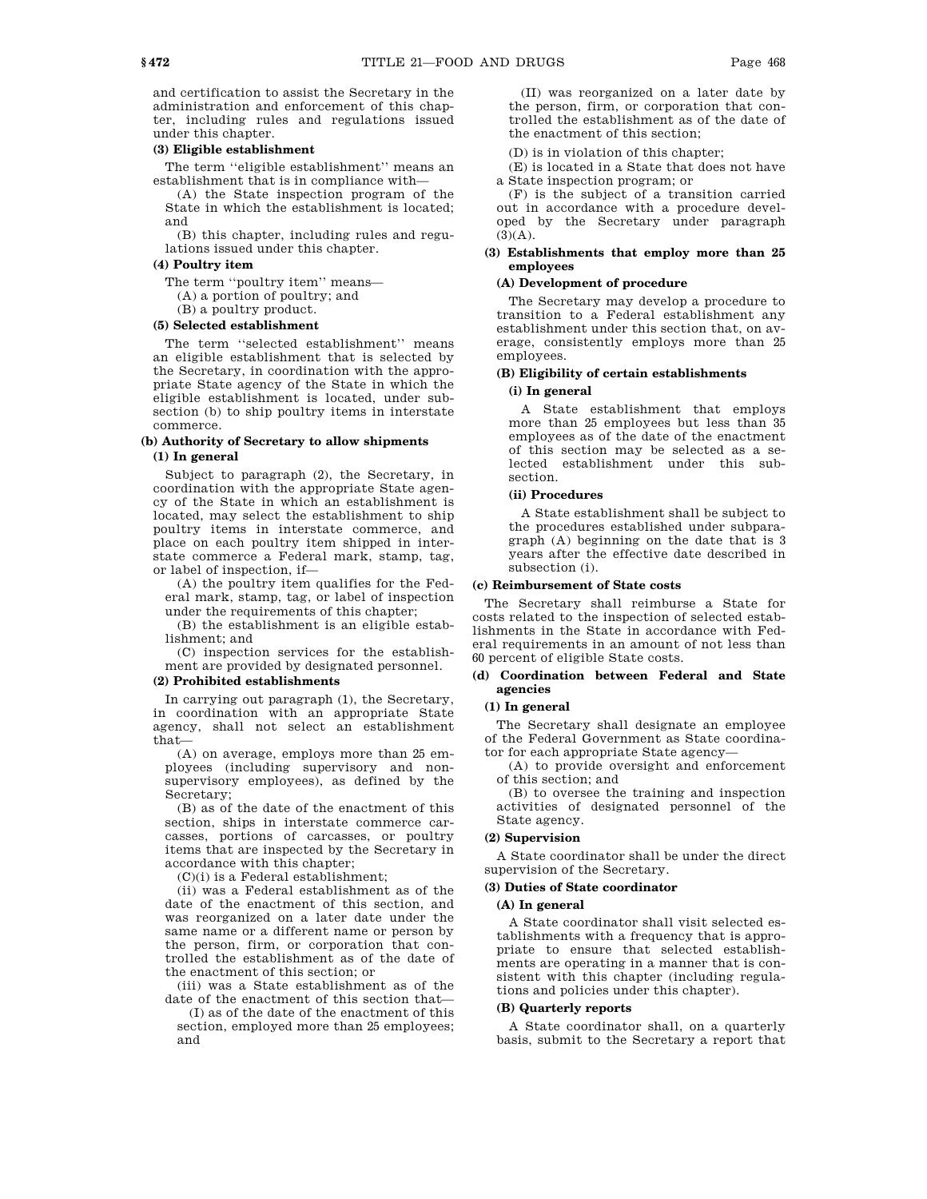and certification to assist the Secretary in the administration and enforcement of this chapter, including rules and regulations issued under this chapter.

## **(3) Eligible establishment**

The term ''eligible establishment'' means an establishment that is in compliance with—

(A) the State inspection program of the State in which the establishment is located; and

(B) this chapter, including rules and regulations issued under this chapter.

## **(4) Poultry item**

The term "poultry item" means-

(A) a portion of poultry; and

(B) a poultry product.

## **(5) Selected establishment**

The term ''selected establishment'' means an eligible establishment that is selected by the Secretary, in coordination with the appropriate State agency of the State in which the eligible establishment is located, under subsection (b) to ship poultry items in interstate commerce.

## **(b) Authority of Secretary to allow shipments**

## **(1) In general**

Subject to paragraph (2), the Secretary, in coordination with the appropriate State agency of the State in which an establishment is located, may select the establishment to ship poultry items in interstate commerce, and place on each poultry item shipped in interstate commerce a Federal mark, stamp, tag, or label of inspection, if—

(A) the poultry item qualifies for the Federal mark, stamp, tag, or label of inspection under the requirements of this chapter;

(B) the establishment is an eligible establishment; and

(C) inspection services for the establishment are provided by designated personnel.

## **(2) Prohibited establishments**

In carrying out paragraph (1), the Secretary, in coordination with an appropriate State agency, shall not select an establishment that—

(A) on average, employs more than 25 employees (including supervisory and nonsupervisory employees), as defined by the Secretary;

(B) as of the date of the enactment of this section, ships in interstate commerce carcasses, portions of carcasses, or poultry items that are inspected by the Secretary in accordance with this chapter;

 $(C)(i)$  is a Federal establishment;

(ii) was a Federal establishment as of the date of the enactment of this section, and was reorganized on a later date under the same name or a different name or person by the person, firm, or corporation that controlled the establishment as of the date of the enactment of this section; or

(iii) was a State establishment as of the date of the enactment of this section that—

(I) as of the date of the enactment of this section, employed more than 25 employees; and

(II) was reorganized on a later date by the person, firm, or corporation that controlled the establishment as of the date of the enactment of this section;

(D) is in violation of this chapter;

(E) is located in a State that does not have a State inspection program; or

(F) is the subject of a transition carried out in accordance with a procedure developed by the Secretary under paragraph  $(3)(A).$ 

## **(3) Establishments that employ more than 25 employees**

## **(A) Development of procedure**

The Secretary may develop a procedure to transition to a Federal establishment any establishment under this section that, on average, consistently employs more than 25 employees.

# **(B) Eligibility of certain establishments**

## **(i) In general**

A State establishment that employs more than 25 employees but less than 35 employees as of the date of the enactment of this section may be selected as a selected establishment under this section.

#### **(ii) Procedures**

A State establishment shall be subject to the procedures established under subparagraph (A) beginning on the date that is 3 years after the effective date described in subsection (i).

#### **(c) Reimbursement of State costs**

The Secretary shall reimburse a State for costs related to the inspection of selected establishments in the State in accordance with Federal requirements in an amount of not less than 60 percent of eligible State costs.

## **(d) Coordination between Federal and State agencies**

## **(1) In general**

The Secretary shall designate an employee of the Federal Government as State coordinator for each appropriate State agency—

(A) to provide oversight and enforcement of this section; and

(B) to oversee the training and inspection activities of designated personnel of the State agency.

## **(2) Supervision**

A State coordinator shall be under the direct supervision of the Secretary.

## **(3) Duties of State coordinator**

#### **(A) In general**

A State coordinator shall visit selected establishments with a frequency that is appropriate to ensure that selected establishments are operating in a manner that is consistent with this chapter (including regulations and policies under this chapter).

## **(B) Quarterly reports**

A State coordinator shall, on a quarterly basis, submit to the Secretary a report that